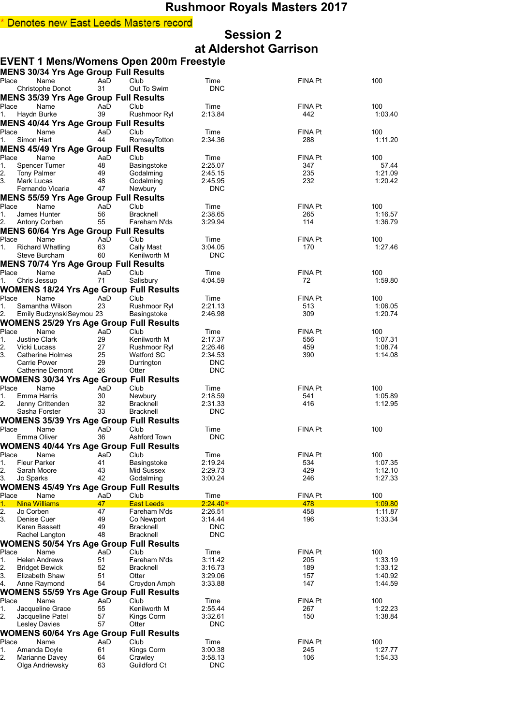## **Session 2 at Aldershot Garrison**

## **EVENT 1 Mens/Womens Open 200m Freestyle**

|          |                                   | MENS 30/34 Yrs Age Group Full Results          |           |                           |                    |                |                    |
|----------|-----------------------------------|------------------------------------------------|-----------|---------------------------|--------------------|----------------|--------------------|
| Place    |                                   | Name                                           | AaD       | Club                      | Time               | <b>FINA Pt</b> | 100                |
|          |                                   | Christophe Donot                               | 31        | Out To Swim               | <b>DNC</b>         |                |                    |
|          |                                   | <b>MENS 35/39 Yrs Age Group Full Results</b>   |           |                           |                    |                |                    |
| Place    |                                   | Name                                           | AaD       | Club                      | Time               | FINA Pt        | 100                |
| 1.       | Haydn Burke                       |                                                | 39        | Rushmoor Ryl              | 2:13.84            | 442            | 1:03.40            |
|          |                                   | <b>MENS 40/44 Yrs Age Group Full Results</b>   |           |                           |                    |                |                    |
| Place    |                                   | Name                                           | AaD       | Club                      | Time               | FINA Pt        | 100                |
| 1.       | Simon Hart                        |                                                | 44        | RomseyTotton              | 2:34.36            | 288            | 1:11.20            |
|          |                                   | <b>MENS 45/49 Yrs Age Group Full Results</b>   |           |                           |                    |                |                    |
| Place    |                                   | Name                                           | AaD       | Club                      | Time               | <b>FINA Pt</b> | 100                |
| 1.       |                                   | <b>Spencer Turner</b>                          | 48        | Basingstoke               | 2:25.07            | 347            | 57.44              |
| 2.       | <b>Tony Palmer</b>                |                                                | 49        | Godalming                 | 2:45.15            | 235            | 1:21.09            |
| 3.       | <b>Mark Lucas</b>                 |                                                | 48        | Godalming                 | 2:45.95            | 232            | 1:20.42            |
|          |                                   | Fernando Vicaria                               | 47        | Newbury                   | <b>DNC</b>         |                |                    |
|          |                                   | <b>MENS 55/59 Yrs Age Group Full Results</b>   |           |                           |                    |                |                    |
| Place    |                                   | Name                                           | AaD       | Club                      | Time               | <b>FINA Pt</b> | 100                |
| 1.       | James Hunter                      |                                                | 56        | <b>Bracknell</b>          | 2:38.65            | 265            | 1:16.57            |
| 2.       |                                   | Antony Corben                                  | 55        | Fareham N'ds              | 3:29.94            | 114            | 1:36.79            |
|          |                                   | <b>MENS 60/64 Yrs Age Group Full Results</b>   |           |                           |                    |                |                    |
| Place    |                                   | Name                                           | AaD       | Club                      | Time               | <b>FINA Pt</b> | 100                |
| 1.       |                                   | <b>Richard Whatling</b>                        | 63        | Cally Mast                | 3:04.05            | 170            | 1:27.46            |
|          |                                   | Steve Burcham                                  | 60        | Kenilworth M              | <b>DNC</b>         |                |                    |
|          |                                   | <b>MENS 70/74 Yrs Age Group Full Results</b>   |           |                           |                    |                |                    |
| Place    |                                   | Name                                           | AaD       | Club                      | Time               | <b>FINA Pt</b> | 100                |
| 1.       | Chris Jessup                      |                                                | 71        | Salisbury                 | 4:04.59            | 72             | 1:59.80            |
|          |                                   | <b>WOMENS 18/24 Yrs Age Group Full Results</b> |           |                           |                    |                |                    |
| Place    |                                   | Name                                           | AaD       | Club                      | Time               | <b>FINA Pt</b> | 100                |
| 1.       |                                   | Samantha Wilson                                | 23        | Rushmoor Ryl              | 2:21.13            | 513            | 1:06.05            |
| 2.       |                                   | Emily BudzynskiSeymou 23                       |           | Basingstoke               | 2:46.98            | 309            | 1:20.74            |
|          |                                   | <b>WOMENS 25/29 Yrs Age Group Full Results</b> |           |                           |                    |                |                    |
| Place    |                                   | Name                                           | AaD       | Club                      | Time               | <b>FINA Pt</b> | 100                |
| 1.       | <b>Justine Clark</b>              |                                                | 29        | Kenilworth M              | 2:17.37            | 556            | 1:07.31            |
| 2.       | Vicki Lucass                      |                                                | 27        | Rushmoor Ryl              | 2:26.46            | 459            | 1:08.74            |
| 3.       |                                   | <b>Catherine Holmes</b>                        | 25        | <b>Watford SC</b>         | 2:34.53            | 390            | 1:14.08            |
|          | <b>Carrie Power</b>               |                                                | 29        | Durrington                | <b>DNC</b>         |                |                    |
|          |                                   | Catherine Demont                               | 26        | Otter                     | <b>DNC</b>         |                |                    |
|          |                                   | <b>WOMENS 30/34 Yrs Age Group Full Results</b> |           |                           |                    |                |                    |
| Place    |                                   | Name                                           | AaD       | Club                      | Time               | <b>FINA Pt</b> | 100                |
| 1.       | Emma Harris                       |                                                | 30        | Newbury                   | 2:18.59            | 541            | 1:05.89            |
| 2.       |                                   | Jenny Crittenden                               | 32        | Bracknell                 | 2:31.33            | 416            | 1:12.95            |
|          | Sasha Forster                     |                                                | 33        | <b>Bracknell</b>          | <b>DNC</b>         |                |                    |
|          |                                   | <b>WOMENS 35/39 Yrs Age Group Full Results</b> |           |                           |                    |                |                    |
| Place    |                                   | Name                                           | AaD       | Club                      | Time               | <b>FINA Pt</b> | 100                |
|          | Emma Oliver                       |                                                | 36        | Ashford Town              | <b>DNC</b>         |                |                    |
|          |                                   |                                                |           |                           |                    |                |                    |
|          |                                   | <b>WOMENS 40/44 Yrs Age Group Full Results</b> |           |                           |                    |                |                    |
| Place    |                                   | AaD Club<br>Name                               |           |                           | Time               | <b>FINA Pt</b> | 100                |
| 1.       | Fleur Parker                      |                                                | 41<br>43  | Basingstoke<br>Mid Sussex | 2:19.24            | 534<br>429     | 1:07.35<br>1:12.10 |
| 2.<br>3. | Sarah Moore<br>Jo Sparks          |                                                | 42        | Godalming                 | 2:29.73<br>3:00.24 | 246            | 1:27.33            |
|          |                                   |                                                |           |                           |                    |                |                    |
|          |                                   | WOMENS 45/49 Yrs Age Group Full Results        |           |                           |                    |                |                    |
| Place    |                                   | Name                                           | AaD       | Club<br><b>East Leeds</b> | Time<br>$2.24.40*$ | FINA Pt        | 100<br>1:09.80     |
| 1.       | <b>Nina Williams</b><br>Jo Corben |                                                | 47<br>47  | Fareham N'ds              | 2:26.51            | 478<br>458     | 1:11.87            |
| 2.<br>3. | Denise Cuer                       |                                                | 49        | Co Newport                | 3:14.44            | 196            | 1:33.34            |
|          | Karen Bassett                     |                                                | 49        | <b>Bracknell</b>          | <b>DNC</b>         |                |                    |
|          |                                   | Rachel Langton                                 | 48        | Bracknell                 | <b>DNC</b>         |                |                    |
|          |                                   | <b>WOMENS 50/54 Yrs Age Group Full Results</b> |           |                           |                    |                |                    |
|          |                                   |                                                |           |                           |                    | <b>FINA Pt</b> |                    |
| Place    |                                   | Name<br><b>Helen Andrews</b>                   | AaD<br>51 | Club<br>Fareham N'ds      | Time               | 205            | 100<br>1:33.19     |
| 1.<br>2. |                                   |                                                | 52        |                           | 3:11.42<br>3:16.73 | 189            | 1:33.12            |
| 3.       |                                   | <b>Bridget Bewick</b><br>Elizabeth Shaw        | 51        | <b>Bracknell</b><br>Otter | 3:29.06            | 157            | 1:40.92            |
| 4.       |                                   | Anne Raymond                                   | 54        | Croydon Amph              | 3:33.88            | 147            | 1:44.59            |
|          |                                   |                                                |           |                           |                    |                |                    |
|          |                                   | <b>WOMENS 55/59 Yrs Age Group Full Results</b> |           |                           |                    |                |                    |
| Place    |                                   | Name                                           | AaD       | Club                      | Time               | <b>FINA Pt</b> | 100                |
| 1.       |                                   | Jacqueline Grace                               | 55        | Kenilworth M              | 2:55.44            | 267            | 1:22.23            |
| 2.       |                                   | Jacqueline Patel                               | 57<br>57  | Kings Corm                | 3:32.61            | 150            | 1:38.84            |
|          | <b>Lesley Davies</b>              |                                                |           | Otter                     | <b>DNC</b>         |                |                    |
|          |                                   | <b>WOMENS 60/64 Yrs Age Group Full Results</b> |           |                           |                    |                |                    |
| Place    |                                   | Name                                           | AaD       | Club                      | Time               | <b>FINA Pt</b> | 100                |
| 1.       |                                   | Amanda Doyle                                   | 61        | Kings Corm                | 3:00.38            | 245            | 1:27.77            |
| 2.       |                                   | Marianne Davey                                 | 64        | Crawley                   | 3:58.13            | 106            | 1:54.33            |
|          |                                   | Olga Andriewsky                                | 63        | Guildford Ct              | <b>DNC</b>         |                |                    |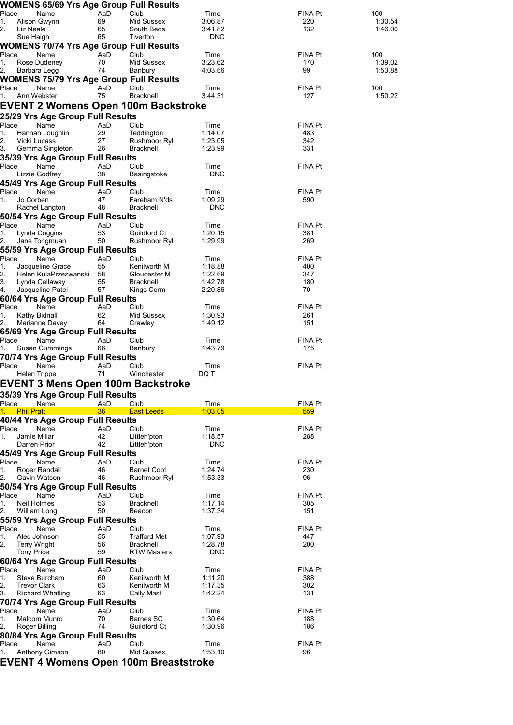|                                    | WOMENS 65/69 Yrs Age Group Full Results              |           |                                          |                       |                       |                    |
|------------------------------------|------------------------------------------------------|-----------|------------------------------------------|-----------------------|-----------------------|--------------------|
| Place<br>1.                        | Name<br>Alison Gwynn                                 | AaD<br>69 | Club<br>Mid Sussex                       | Time<br>3:06.87       | <b>FINA Pt</b><br>220 | 100<br>1:30.54     |
| 2.<br>Liz Neale                    |                                                      | 65        | South Beds                               | 3:41.82               | 132                   | 1:46.00            |
| Sue Haigh                          |                                                      | 65        | Tiverton                                 | <b>DNC</b>            |                       |                    |
|                                    | <b>WOMENS 70/74 Yrs Age Group Full Results</b>       |           |                                          |                       |                       |                    |
| Place                              | Name<br>Rose Dudeney                                 | AaD<br>70 | Club<br>Mid Sussex                       | Time<br>3:23.62       | <b>FINA Pt</b><br>170 | 100                |
| 1.<br>2.                           | Barbara Legg                                         | 74        | Banbury                                  | 4:03.66               | 99                    | 1:39.02<br>1:53.88 |
|                                    | <b>WOMENS 75/79 Yrs Age Group Full Results</b>       |           |                                          |                       |                       |                    |
| Place                              | Name                                                 | AaD       | Club                                     | Time                  | <b>FINA Pt</b>        | 100                |
| 1.                                 | Ann Webster                                          | 75        | <b>Bracknell</b>                         | 3:44.31               | 127                   | 1:50.22            |
|                                    |                                                      |           | EVENT 2 Womens Open 100m Backstroke      |                       |                       |                    |
|                                    | 25/29 Yrs Age Group Full Results                     |           |                                          |                       |                       |                    |
| Place<br>1.                        | Name<br>Hannah Loughlin                              | AaD<br>29 | Club<br>Teddington                       | Time<br>1:14.07       | <b>FINA Pt</b><br>483 |                    |
| 2.<br>Vicki Lucass                 |                                                      | 27        | Rushmoor Ryl                             | 1:23.05               | 342                   |                    |
| 3.                                 | Gemma Singleton                                      | 26        | Bracknell                                | 1:23.99               | 331                   |                    |
|                                    | 35/39 Yrs Age Group Full Results                     |           |                                          |                       |                       |                    |
| Place                              | Name<br>Lizzie Godfrey                               | AaD<br>38 | Club<br>Basingstoke                      | Time<br><b>DNC</b>    | <b>FINA Pt</b>        |                    |
|                                    | 45/49 Yrs Age Group Full Results                     |           |                                          |                       |                       |                    |
| Place                              | Name                                                 | AaD       | Club                                     | Time                  | <b>FINA Pt</b>        |                    |
| Jo Corben<br>1.                    |                                                      | 47        | Fareham N'ds                             | 1:09.29               | 590                   |                    |
|                                    | Rachel Langton<br>50/54 Yrs Age Group Full Results   | 48        | <b>Bracknell</b>                         | <b>DNC</b>            |                       |                    |
| Place                              | Name                                                 | AaD       | Club                                     | Time                  | <b>FINA Pt</b>        |                    |
| 1.                                 | Lynda Coggins                                        | 53        | Guildford Ct                             | 1:20.15               | 381                   |                    |
| 2.                                 | Jane Tongmuan                                        | 50        | Rushmoor Ryl                             | 1:29.99               | 269                   |                    |
| Place                              | 55/59 Yrs Age Group Full Results                     |           |                                          |                       |                       |                    |
| 1.                                 | Name<br>Jacqueline Grace                             | AaD<br>55 | Club<br>Kenilworth M                     | Time<br>1:18.88       | <b>FINA Pt</b><br>400 |                    |
| 2.                                 | Helen KulaPrzezwanski                                | 58        | Gloucester M                             | 1:22.69               | 347                   |                    |
| 3.                                 | Lynda Callaway                                       | 55        | <b>Bracknell</b>                         | 1:42.78               | 180                   |                    |
| 4.                                 | Jacqueline Patel<br>60/64 Yrs Age Group Full Results | 57        | Kings Corm                               | 2:20.86               | 70                    |                    |
| Place                              | Name                                                 | AaD       | Club                                     | Time                  | <b>FINA Pt</b>        |                    |
| 1.                                 | Kathy Bidnall                                        | 62        | Mid Sussex                               | 1:30.93               | 261                   |                    |
| 2.                                 | Marianne Davey                                       | 64        | Crawley                                  | 1:49.12               | 151                   |                    |
| Place                              | 65/69 Yrs Age Group Full Results<br>Name             | AaD       | Club                                     | Time                  | FINA Pt               |                    |
| 1.                                 | Susan Cummings                                       | 66        | Banbury                                  | 1:43.79               | 175                   |                    |
|                                    | 70/74 Yrs Age Group Full Results                     |           |                                          |                       |                       |                    |
| Place                              | Name                                                 | AaD       | Club                                     | Time                  | <b>FINA Pt</b>        |                    |
| Helen Trippe                       |                                                      | 71        | Winchester                               | DQ T                  |                       |                    |
|                                    |                                                      |           | <b>EVENT 3 Mens Open 100m Backstroke</b> |                       |                       |                    |
| Place                              | 35/39 Yrs Age Group Full Results<br>Name             | AaD       | Club                                     | Time                  | <b>FINA Pt</b>        |                    |
| <b>Phil Pratt</b><br>1.            |                                                      | 36        | <b>East Leeds</b>                        | 1:03.05               | 559                   |                    |
|                                    | 40/44 Yrs Age Group Full Results                     |           |                                          |                       |                       |                    |
| Place                              | Name                                                 | AaD       | Club                                     | Time                  | <b>FINA Pt</b>        |                    |
| Jamie Millar<br>1.<br>Darren Prior |                                                      | 42<br>42  | Littleh'pton<br>Littleh'pton             | 1:18.57<br><b>DNC</b> | 288                   |                    |
|                                    | 45/49 Yrs Age Group Full Results                     |           |                                          |                       |                       |                    |
| Place                              | Name                                                 | AaD       | Club                                     | Time                  | <b>FINA Pt</b>        |                    |
| 1.                                 | Roger Randall                                        | 46        | <b>Barnet Copt</b>                       | 1:24.74               | 230                   |                    |
| 2.                                 | Gavin Watson<br>50/54 Yrs Age Group Full Results     | 46        | Rushmoor Ryl                             | 1:53.33               | 96                    |                    |
| Place                              | Name                                                 | AaD       | Club                                     | Time                  | <b>FINA Pt</b>        |                    |
| Neil Holmes<br>1.                  |                                                      | 53        | <b>Bracknell</b>                         | 1:17.14               | 305                   |                    |
| 2.                                 | William Long                                         | 50        | Beacon                                   | 1:37.34               | 151                   |                    |
| Place                              | 55/59 Yrs Age Group Full Results<br>Name             | AaD       | Club                                     | Time                  | <b>FINA Pt</b>        |                    |
| 1.                                 | Alec Johnson                                         | 55        | <b>Trafford Met</b>                      | 1:07.93               | 447                   |                    |
| 2.<br><b>Terry Wright</b>          |                                                      | 56        | <b>Bracknell</b>                         | 1:28.78               | 200                   |                    |
| <b>Tony Price</b>                  |                                                      | 59        | <b>RTW Masters</b>                       | <b>DNC</b>            |                       |                    |
| Place                              | 60/64 Yrs Age Group Full Results<br>Name             | AaD       | Club                                     | Time                  | <b>FINA Pt</b>        |                    |
| 1.                                 | Steve Burcham                                        | 60        | Kenilworth M                             | 1:11.20               | 388                   |                    |
| 2.<br><b>Trevor Clark</b>          |                                                      | 63        | Kenilworth M                             | 1:17.35               | 302                   |                    |
| 3.                                 | <b>Richard Whatling</b>                              | 63        | Cally Mast                               | 1:42.24               | 131                   |                    |
| Place                              | 70/74 Yrs Age Group Full Results<br>Name             | AaD       | Club                                     | Time                  | <b>FINA Pt</b>        |                    |
| 1.                                 | Malcom Munro                                         | 70        | <b>Barnes SC</b>                         | 1:30.64               | 188                   |                    |
| 2.                                 | Roger Billing                                        | 74        | Guildford Ct                             | 1:30.96               | 186                   |                    |
|                                    | 80/84 Yrs Age Group Full Results                     |           |                                          |                       |                       |                    |
| Place                              | Name<br><b>Anthony Gimson</b>                        | AaD<br>80 | Club<br>Mid Sussex                       | Time<br>1:53.10       | <b>FINA Pt</b><br>96  |                    |
|                                    |                                                      |           | EVENT 4 Womens Open 100m Breaststroke    |                       |                       |                    |
|                                    |                                                      |           |                                          |                       |                       |                    |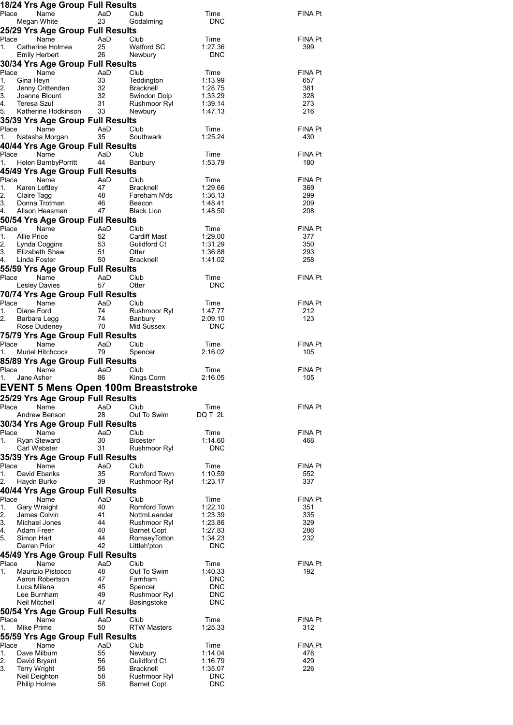|                         |                                     | 18/24 Yrs Age Group Full Results         |           |                                     |                          |                       |
|-------------------------|-------------------------------------|------------------------------------------|-----------|-------------------------------------|--------------------------|-----------------------|
| Place                   |                                     | Name                                     | AaD       | Club                                | Time                     | FINA Pt               |
|                         | Megan White                         |                                          | 23        | Godalming                           | <b>DNC</b>               |                       |
| Place                   |                                     | 25/29 Yrs Age Group Full Results<br>Name | AaD       | Club                                | Time                     | FINA Pt               |
| 1.                      |                                     | Catherine Holmes                         | 25        | Watford SC                          | 1.27.36                  | 399                   |
|                         | <b>Emily Herbert</b>                |                                          | 26        | Newbury                             | <b>DNC</b>               |                       |
| Place                   |                                     | 30/34 Yrs Age Group Full Results<br>Name | AaD       | Club                                | Time                     | <b>FINA Pt</b>        |
| 1.                      | Gina Heyn                           |                                          | 33        | Teddington                          | 1:13.99                  | 657                   |
| 2.                      |                                     | Jenny Crittenden                         | 32        | <b>Bracknell</b>                    | 1:28.75                  | 381                   |
| 3.<br>4.                | Teresa Szul                         | Joanne Blount                            | 32<br>31  | Swindon Dolp                        | 1:33.29<br>1:39.14       | 328<br>273            |
| 5.                      |                                     | Katherine Hodkinson                      | 33        | Rushmoor Ryl<br>Newbury             | 1:47.13                  | 216                   |
|                         |                                     | 35/39 Yrs Age Group Full Results         |           |                                     |                          |                       |
| Place                   |                                     | Name                                     | AaD       | Club                                | Time                     | <b>FINA Pt</b>        |
| 1.                      |                                     | Natasha Morgan                           | 35        | Southwark                           | 1:25.24                  | 430                   |
| Place                   |                                     | 40/44 Yrs Age Group Full Results<br>Name | AaD       | Club                                | Time                     | <b>FINA Pt</b>        |
| 1.                      |                                     | Helen BarnbyPorritt                      | 44        | Banbury                             | 1:53.79                  | 180                   |
|                         |                                     | 45/49 Yrs Age Group Full Results         |           |                                     |                          |                       |
| Place                   |                                     | Name                                     | AaD       | Club                                | Time                     | <b>FINA Pt</b>        |
| 1.<br>2.                | Karen Leftley<br>Claire Tagg        |                                          | 47<br>48  | <b>Bracknell</b><br>Fareham N'ds    | 1:29.66<br>1:36.13       | 369<br>299            |
| 3.                      |                                     | Donna Trotman                            | 46        | Beacon                              | 1:48.41                  | 209                   |
| 4.                      |                                     | Alison Heasman                           | 47        | <b>Black Lion</b>                   | 1:48.50                  | 208                   |
| Place                   |                                     | 50/54 Yrs Age Group Full Results<br>Name | AaD       | Club                                | Time                     | <b>FINA Pt</b>        |
| 1.                      | <b>Allie Price</b>                  |                                          | 52        | <b>Cardiff Mast</b>                 | 1:29.00                  | 377                   |
| 2.                      |                                     | Lynda Coggins                            | 53        | Guildford Ct                        | 1:31.29                  | 350                   |
| 3.<br>4.                | Linda Foster                        | Elizabeth Shaw                           | 51<br>50  | Otter<br><b>Bracknell</b>           | 1:36.88<br>1:41.02       | 293<br>258            |
|                         |                                     | 55/59 Yrs Age Group Full Results         |           |                                     |                          |                       |
| Place                   |                                     | Name                                     | AaD       | Club                                | Time                     | <b>FINA Pt</b>        |
|                         |                                     | <b>Lesley Davies</b>                     | 57        | Otter                               | <b>DNC</b>               |                       |
|                         |                                     | 70/74 Yrs Age Group Full Results         |           |                                     |                          |                       |
| Place<br>1.             | Diane Ford                          | Name                                     | AaD<br>74 | Club<br>Rushmoor Ryl                | Time<br>1:47.77          | <b>FINA Pt</b><br>212 |
| 2.                      | Barbara Legg                        |                                          | 74        | Banbury                             | 2:09.10                  | 123                   |
|                         |                                     | Rose Dudeney                             | 70        | Mid Sussex                          | <b>DNC</b>               |                       |
|                         |                                     | 75/79 Yrs Age Group Full Results         |           |                                     |                          |                       |
|                         |                                     |                                          |           |                                     |                          |                       |
| Place<br>1.             |                                     | Name<br><b>Muriel Hitchcock</b>          | AaD<br>79 | Club                                | Time<br>2:16.02          | FINA Pt<br>105        |
|                         |                                     | 85/89 Yrs Age Group Full Results         |           | Spencer                             |                          |                       |
| Place                   |                                     | Name                                     | AaD       | Club                                | Time                     | FINA Pt               |
| 1.                      | Jane Asher                          |                                          | 86        | Kings Corm                          | 2:16.05                  | 105                   |
|                         |                                     |                                          |           | EVENT 5 Mens Open 100m Breaststroke |                          |                       |
|                         |                                     | 25/29 Yrs Age Group Full Results         |           |                                     |                          |                       |
| Place                   |                                     | Name<br>Andrew Benson                    | AaD<br>28 | Club<br>Out To Swim                 | Time<br>DQ T 2L          | FINA Pt               |
|                         |                                     | 30/34 Yrs Age Group Full Results         |           |                                     |                          |                       |
| Place                   |                                     | Name                                     | AaD       | Club                                | Time                     | FINA Pt               |
| 1.                      | <b>Ryan Steward</b>                 |                                          | 30        | <b>Bicester</b>                     | 1:14.60                  | 468                   |
|                         | Carl Webster                        |                                          | 31        | Rushmoor Ryl                        | <b>DNC</b>               |                       |
| Place                   |                                     | 35/39 Yrs Age Group Full Results<br>Name | AaD       | Club                                | Time                     | <b>FINA Pt</b>        |
| 1.                      | David Ebanks                        |                                          | 35        | Romford Town                        | 1:10.59                  | 552                   |
| 2.                      | Haydn Burke                         |                                          | 39        | Rushmoor Ryl                        | 1:23.17                  | 337                   |
| Place                   |                                     | 40/44 Yrs Age Group Full Results<br>Name | AaD       | Club                                | Time                     | FINA Pt               |
| 1.                      | Gary Wraight                        |                                          | 40        | Romford Town                        | 1:22.10                  | 351                   |
| 2.                      | James Colvin                        |                                          | 41        | NottmLeander                        | 1:23.39                  | 335                   |
| 3.<br>4.                | Adam Freer                          | Michael Jones                            | 44<br>40  | Rushmoor Ryl<br>Barnet Copt         | 1:23.86<br>1:27.83       | 329<br>286            |
| 5.                      | Simon Hart                          |                                          | 44        | RomseyTotton                        | 1:34.23                  | 232                   |
|                         | Darren Prior                        |                                          | 42        | Littleh'pton                        | <b>DNC</b>               |                       |
| Place                   |                                     | 45/49 Yrs Age Group Full Results<br>Name | AaD       | Club                                | Time                     | FINA Pt               |
| 1.                      |                                     | Maurizio Pistocco                        | 48        | Out To Swim                         | 1:40.33                  | 192                   |
|                         |                                     | Aaron Robertson                          | 47        | Farnham                             | <b>DNC</b>               |                       |
|                         | Luca Milana<br>Lee Burnham          |                                          | 45<br>49  | Spencer<br>Rushmoor Ryl             | <b>DNC</b><br><b>DNC</b> |                       |
|                         | Neil Mitchell                       |                                          | 47        | Basingstoke                         | <b>DNC</b>               |                       |
|                         |                                     | 50/54 Yrs Age Group Full Results         |           |                                     |                          |                       |
| Place                   |                                     | Name                                     | AaD       | Club                                | Time                     | FINA Pt               |
| 1.                      | Mike Prime                          |                                          | 50        | <b>RTW Masters</b>                  | 1:25.33                  | 312                   |
|                         |                                     | 55/59 Yrs Age Group Full Results<br>Name | AaD       | Club                                | Time                     | <b>FINA Pt</b>        |
|                         | Dave Milburn                        |                                          | 55        | Newbury                             | 1:14.04                  | 478                   |
|                         | David Bryant<br><b>Terry Wright</b> |                                          | 56<br>56  | Guildford Ct<br><b>Bracknell</b>    | 1:16.79<br>1:35.07       | 429<br>226            |
| Place<br>1.<br>2.<br>3. | Neil Deighton<br>Philip Holme       |                                          | 58<br>58  | Rushmoor Ryl<br><b>Barnet Copt</b>  | <b>DNC</b><br><b>DNC</b> |                       |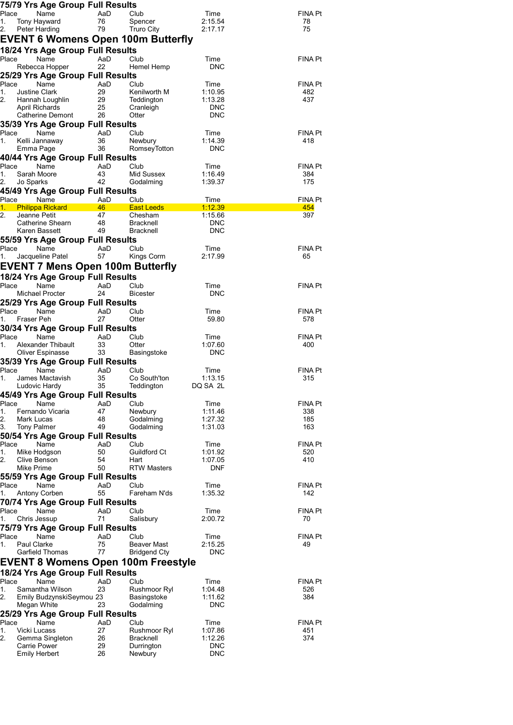|             |                                        | 75/79 Yrs Age Group Full Results |           |                                           |                       |                |
|-------------|----------------------------------------|----------------------------------|-----------|-------------------------------------------|-----------------------|----------------|
| Place<br>1. | Name<br>Tony Hayward                   |                                  | AaD<br>76 | Club<br>Spencer                           | Time<br>2:15.54       | FINA Pt<br>78  |
| 2.          | Peter Harding                          |                                  | 79        | <b>Truro City</b>                         | 2:17.17               | 75             |
|             |                                        |                                  |           | EVENT 6 Womens Open 100m Butterfly        |                       |                |
|             |                                        | 18/24 Yrs Age Group Full Results |           |                                           |                       |                |
| Place       | Name                                   |                                  | AaD       | Club                                      | Time                  | FINA Pt        |
|             | Rebecca Hopper                         |                                  | 22        | Hemel Hemp                                | <b>DNC</b>            |                |
| Place       |                                        | 25/29 Yrs Age Group Full Results |           |                                           |                       |                |
| 1.          | Name<br><b>Justine Clark</b>           |                                  | AaD<br>29 | Club<br>Kenilworth M                      | Time<br>1:10.95       | FINA Pt<br>482 |
| 2.          | Hannah Loughlin                        |                                  | 29        | Teddington                                | 1:13.28               | 437            |
|             | April Richards                         |                                  | 25        | Cranleigh                                 | <b>DNC</b>            |                |
|             | Catherine Demont                       |                                  | 26        | Otter                                     | <b>DNC</b>            |                |
| Place       | Name                                   | 35/39 Yrs Age Group Full Results | AaD       | Club                                      | Time                  | FINA Pt        |
| 1.          | Kelli Jannaway                         |                                  | 36        | Newbury                                   | 1:14.39               | 418            |
|             | Emma Page                              |                                  | 36        | RomseyTotton                              | <b>DNC</b>            |                |
|             |                                        | 40/44 Yrs Age Group Full Results |           |                                           |                       |                |
| Place<br>1. | Name<br>Sarah Moore                    |                                  | AaD       | Club                                      | Time                  | FINA Pt        |
| 2.          | Jo Sparks                              |                                  | 43<br>42  | Mid Sussex<br>Godalming                   | 1:16.49<br>1:39.37    | 384<br>175     |
|             |                                        | 45/49 Yrs Age Group Full Results |           |                                           |                       |                |
|             | Place Name                             |                                  | AaD       | Club                                      | Time                  | FINA Pt        |
| 1.          | <b>Philippa Rickard</b>                |                                  | 46        | <b>East Leeds</b>                         | 1:12.39               | 454            |
| 2.          | Jeanne Petit<br>Catherine Shearn       |                                  | 47<br>48  | Chesham<br><b>Bracknell</b>               | 1:15.66<br><b>DNC</b> | 397            |
|             | Karen Bassett                          |                                  | 49        | Bracknell                                 | <b>DNC</b>            |                |
|             |                                        | 55/59 Yrs Age Group Full Results |           |                                           |                       |                |
| Place       | Name                                   |                                  | AaD       | Club                                      | Time                  | FINA Pt        |
| 1.          | Jacqueline Patel                       |                                  | 57        | Kings Corm                                | 2:17.99               | 65             |
|             |                                        |                                  |           | EVENT 7 Mens Open 100m Butterfly          |                       |                |
|             |                                        | 18/24 Yrs Age Group Full Results |           |                                           |                       |                |
| Place       | Name<br>Michael Procter                |                                  | AaD<br>24 | Club<br><b>Bicester</b>                   | Time<br><b>DNC</b>    | FINA Pt        |
|             |                                        | 25/29 Yrs Age Group Full Results |           |                                           |                       |                |
| Place       | Name                                   |                                  | AaD       | Club                                      | Time                  | FINA Pt        |
| 1.          | Fraser Peh                             |                                  | 27        | Otter                                     | 59.80                 | 578            |
|             |                                        | 30/34 Yrs Age Group Full Results |           |                                           |                       |                |
| Place<br>1. | Name<br>Alexander Thibault             |                                  | AaD<br>33 | Club<br>Otter                             | Time<br>1:07.60       | FINA Pt<br>400 |
|             | Oliver Espinasse                       |                                  | 33        | Basingstoke                               | <b>DNC</b>            |                |
|             |                                        | 35/39 Yrs Age Group Full Results |           |                                           |                       |                |
| Place       | Name                                   |                                  | AaD       | Club                                      | Time                  | FINA Pt        |
| 1.          | James Mactavish                        |                                  | 35        | Co South'ton                              | 1:13.15<br>DQ SA 2L   | 315            |
|             | Ludovic Hardy                          | 45/49 Yrs Age Group Full Results | 35        | Teddington                                |                       |                |
| Place       | Name                                   |                                  | AaD       | Club                                      | Time                  | FINA Pt        |
| 1.          | Fernando Vicaria                       |                                  | 47        | Newbury                                   | 1:11.46               | 338            |
| 2.          | Mark Lucas                             |                                  | 48        | Godalming                                 | 1:27.32               | 185            |
| 3.          | <b>Tony Palmer</b>                     | 50/54 Yrs Age Group Full Results | 49        | Godalming                                 | 1:31.03               | 163            |
| Place       | Name                                   |                                  | AaD       | Club                                      | Time                  | FINA Pt        |
| 1.          | Mike Hodgson                           |                                  | 50        | Guildford Ct                              | 1:01.92               | 520            |
| 2.          | Clive Benson                           |                                  | 54        | Hart                                      | 1:07.05               | 410            |
|             | Mike Prime                             | 55/59 Yrs Age Group Full Results | 50        | <b>RTW Masters</b>                        | <b>DNF</b>            |                |
| Place       | Name                                   |                                  | AaD       | Club                                      | Time                  | FINA Pt        |
| 1.          | Antony Corben                          |                                  | 55        | Fareham N'ds                              | 1:35.32               | 142            |
|             |                                        | 70/74 Yrs Age Group Full Results |           |                                           |                       |                |
| Place       | Name                                   |                                  | AaD       | Club                                      | Time                  | FINA Pt        |
| 1.          | Chris Jessup                           |                                  | 71        | Salisbury                                 | 2:00.72               | 70             |
| Place       | Name                                   | 75/79 Yrs Age Group Full Results | AaD       | Club                                      | Time                  | FINA Pt        |
| 1.          | Paul Clarke                            |                                  | 75        | Beaver Mast                               | 2:15.25               | 49             |
|             | Garfield Thomas                        |                                  | 77        | <b>Bridgend Cty</b>                       | <b>DNC</b>            |                |
|             |                                        |                                  |           | <b>EVENT 8 Womens Open 100m Freestyle</b> |                       |                |
|             |                                        | 18/24 Yrs Age Group Full Results |           |                                           |                       |                |
| Place       | Name                                   |                                  | AaD       | Club                                      | Time                  | FINA Pt        |
| 1.          | Samantha Wilson                        |                                  | 23        | Rushmoor Ryl                              | 1:04.48               | 526            |
| 2.          | Megan White                            | Emily BudzynskiSeymou 23         | 23        | Basingstoke<br>Godalming                  | 1:11.62<br><b>DNC</b> | 384            |
|             |                                        | 25/29 Yrs Age Group Full Results |           |                                           |                       |                |
| Place       | Name                                   |                                  | AaD       | Club                                      | Time                  | FINA Pt        |
| 1.          | Vicki Lucass                           |                                  | 27        | Rushmoor Ryl                              | 1:07.86               | 451            |
| 2.          | Gemma Singleton<br><b>Carrie Power</b> |                                  | 26<br>29  | Bracknell<br>Durrington                   | 1:12.26<br><b>DNC</b> | 374            |
|             | <b>Emily Herbert</b>                   |                                  | 26        | Newbury                                   | <b>DNC</b>            |                |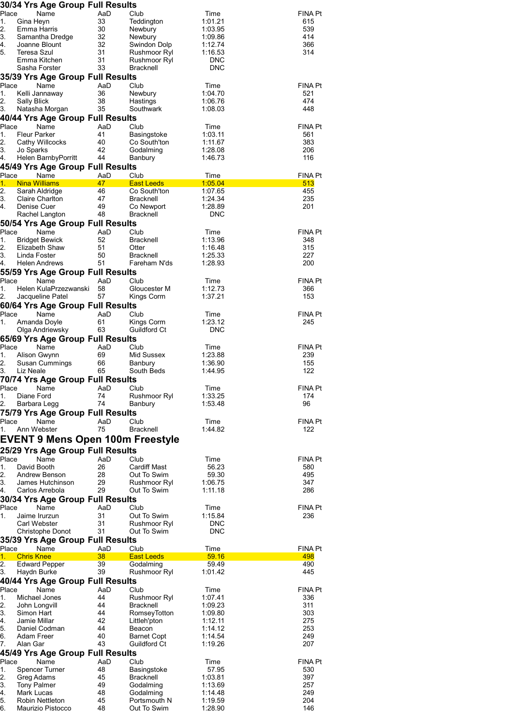|          | 30/34 Yrs Age Group Full Results         |           |                                  |                    |                |
|----------|------------------------------------------|-----------|----------------------------------|--------------------|----------------|
| Place    | Name                                     | AaD       | Club                             | Time               | <b>FINA Pt</b> |
| 1.<br>2. | Gina Heyn<br>Emma Harris                 | 33<br>30  | Teddington<br>Newbury            | 1:01.21<br>1:03.95 | 615<br>539     |
| 3.       | Samantha Dredge                          | 32        | Newbury                          | 1:09.86            | 414            |
| 4.       | Joanne Blount                            | 32        | Swindon Dolp                     | 1:12.74            | 366            |
| 5.       | Teresa Szul                              | 31        | Rushmoor Ryl                     | 1:16.53            | 314            |
|          | Emma Kitchen                             | 31        | Rushmoor Ryl                     | <b>DNC</b>         |                |
|          | Sasha Forster                            | 33        | <b>Bracknell</b>                 | <b>DNC</b>         |                |
|          | 35/39 Yrs Age Group Full Results         |           |                                  |                    |                |
| Place    | Name                                     | AaD       | Club                             | Time               | <b>FINA Pt</b> |
| 1.       | Kelli Jannaway                           | 36        | Newbury                          | 1:04.70            | 521            |
| 2.       | Sally Blick                              | 38        | Hastings                         | 1:06.76            | 474            |
| 3.       | Natasha Morgan                           | 35        | Southwark                        | 1:08.03            | 448            |
|          | 40/44 Yrs Age Group Full Results         |           |                                  |                    |                |
| Place    | Name                                     | AaD       | Club                             | Time               | <b>FINA Pt</b> |
| 1.       | <b>Fleur Parker</b>                      | 41        | Basingstoke                      | 1:03.11            | 561            |
| 2.       | Cathy Willcocks                          | 40        | Co South'ton                     | 1:11.67            | 383            |
| 3.       | Jo Sparks                                | 42        | Godalming                        | 1:28.08            | 206            |
| 4.       | Helen BarnbyPorritt                      | 44        | Banbury                          | 1:46.73            | 116            |
|          | 45/49 Yrs Age Group Full Results         |           |                                  |                    |                |
|          | Place<br>Name                            | AaD       | Club                             | Time               | <b>FINA Pt</b> |
| 1.       | <b>Nina Williams</b>                     | 47        | <b>East Leeds</b>                | 1:05.04            | 513            |
| 2.       | Sarah Aldridge                           | 46        | Co South'ton                     | 1:07.65            | 455            |
| 3.       | Claire Charlton                          | 47        | <b>Bracknell</b>                 | 1:24.34            | 235            |
| 4.       | Denise Cuer                              | 49        | Co Newport<br><b>Bracknell</b>   | 1:28.89            | 201            |
|          | Rachel Langton                           | 48        |                                  | <b>DNC</b>         |                |
|          | 50/54 Yrs Age Group Full Results         |           |                                  |                    |                |
| Place    | Name                                     | AaD       | Club                             | Time               | <b>FINA Pt</b> |
| 1.       | <b>Bridget Bewick</b>                    | 52        | <b>Bracknell</b>                 | 1:13.96            | 348            |
| 2.<br>3. | Elizabeth Shaw<br>Linda Foster           | 51<br>50  | Otter<br><b>Bracknell</b>        | 1:16.48<br>1:25.33 | 315<br>227     |
| 4.       | <b>Helen Andrews</b>                     | 51        | Fareham N'ds                     | 1:28.93            | 200            |
|          |                                          |           |                                  |                    |                |
| Place    | 55/59 Yrs Age Group Full Results<br>Name | AaD       | Club                             |                    | <b>FINA Pt</b> |
| 1.       | Helen KulaPrzezwanski                    | 58        | Gloucester M                     | Time<br>1:12.73    | 366            |
| 2.       | Jacqueline Patel                         | 57        | Kings Corm                       | 1:37.21            | 153            |
|          | 60/64 Yrs Age Group Full Results         |           |                                  |                    |                |
| Place    | Name                                     | AaD       | Club                             | Time               | <b>FINA Pt</b> |
| 1.       | Amanda Doyle                             | 61        | Kings Corm                       | 1:23.12            | 245            |
|          | Olga Andriewsky                          | 63        | Guildford Ct                     | <b>DNC</b>         |                |
|          | 65/69 Yrs Age Group Full Results         |           |                                  |                    |                |
| Place    | Name                                     | AaD       | Club                             | Time               | <b>FINA Pt</b> |
| 1.       | Alison Gwynn                             | 69        | Mid Sussex                       | 1:23.88            | 239            |
| 2.       | Susan Cummings                           | 66        | Banbury                          | 1:36.90            | 155            |
| 3.       | Liz Neale                                | 65        | South Beds                       | 1:44.95            | 122            |
|          | 70/74 Yrs Age Group Full Results         |           |                                  |                    |                |
|          | Place Name                               | AaD Club  |                                  | Time               | FINA Pt        |
| 1.       | Diane Ford                               | 74        | Rushmoor Ryl                     | 1:33.25            | 174            |
| 2.       | Barbara Legg                             | 74        | Banbury                          | 1:53.48            | 96             |
|          | 75/79 Yrs Age Group Full Results         |           |                                  |                    |                |
| Place    | Name                                     | AaD       | Club                             | Time               | <b>FINA Pt</b> |
| 1.       | Ann Webster                              | 75        | Bracknell                        | 1:44.82            | 122            |
|          |                                          |           |                                  |                    |                |
|          | <b>EVENT 9 Mens Open 100m Freestyle</b>  |           |                                  |                    |                |
|          | 25/29 Yrs Age Group Full Results         |           |                                  |                    |                |
| Place    | Name                                     | AaD       | Club                             | Time               | <b>FINA Pt</b> |
| 1.       | David Booth                              | 26        | <b>Cardiff Mast</b>              | 56.23              | 580            |
| 2.       | Andrew Benson                            | 28        | Out To Swim                      | 59.30              | 495            |
| 3.       | James Hutchinson                         | 29        | Rushmoor Ryl                     | 1:06.75            | 347            |
| 4.       | Carlos Arrebola                          | 29        | Out To Swim                      | 1:11.18            | 286            |
|          | 30/34 Yrs Age Group Full Results         |           |                                  |                    |                |
| Place    | Name                                     | AaD       | Club                             | Time               | <b>FINA Pt</b> |
| 1.       | Jaime Irurzun                            | 31        | Out To Swim                      | 1:15.84            | 236            |
|          | <b>Carl Webster</b>                      | 31        | Rushmoor Ryl                     | <b>DNC</b>         |                |
|          | <b>Christophe Donot</b>                  | 31        | Out To Swim                      | <b>DNC</b>         |                |
|          | 35/39 Yrs Age Group Full Results         |           |                                  |                    |                |
| Place    | Name                                     | AaD       | Club                             | Time               | <b>FINA Pt</b> |
| 1.       | <b>Chris Knee</b>                        | 38        | <b>East Leeds</b>                | 59.16              | 498            |
| 2.       | <b>Edward Pepper</b>                     | 39<br>39  | Godalming                        | 59.49              | 490            |
| 3.       | Haydn Burke                              |           | Rushmoor Ryl                     | 1:01.42            | 445            |
|          | 40/44 Yrs Age Group Full Results         |           |                                  |                    |                |
| Place    | Name                                     | AaD<br>44 | Club                             | Time               | <b>FINA Pt</b> |
| 1.<br>2. | Michael Jones                            | 44        | Rushmoor Ryl<br><b>Bracknell</b> | 1:07.41<br>1:09.23 | 336<br>311     |
| 3.       | John Longvill<br>Simon Hart              | 44        | RomseyTotton                     | 1:09.80            | 303            |
| 4.       | Jamie Millar                             | 42        | Littleh'pton                     | 1:12.11            | 275            |
| 5.       | Daniel Codman                            | 44        | Beacon                           | 1:14.12            | 253            |
| 6.       | Adam Freer                               | 40        | <b>Barnet Copt</b>               | 1:14.54            | 249            |
| 7.       | Alan Gar                                 | 43        | Guildford Ct                     | 1:19.26            | 207            |
|          | 45/49 Yrs Age Group Full Results         |           |                                  |                    |                |
| Place    | Name                                     | AaD       | Club                             | Time               | <b>FINA Pt</b> |
| 1.       | <b>Spencer Turner</b>                    | 48        | Basingstoke                      | 57.95              | 530            |
| 2.       | Greg Adams                               | 45        | Bracknell                        | 1:03.81            | 397            |
| 3.       | <b>Tony Palmer</b>                       | 49        | Godalming                        | 1:13.69            | 257            |
| 4.       | Mark Lucas                               | 48        | Godalming                        | 1:14.48            | 249            |
| 5.       | Robin Nettleton                          | 45        | Portsmouth N                     | 1:19.59            | 204            |
| 6.       | Maurizio Pistocco                        | 48        | Out To Swim                      | 1:28.90            | 146            |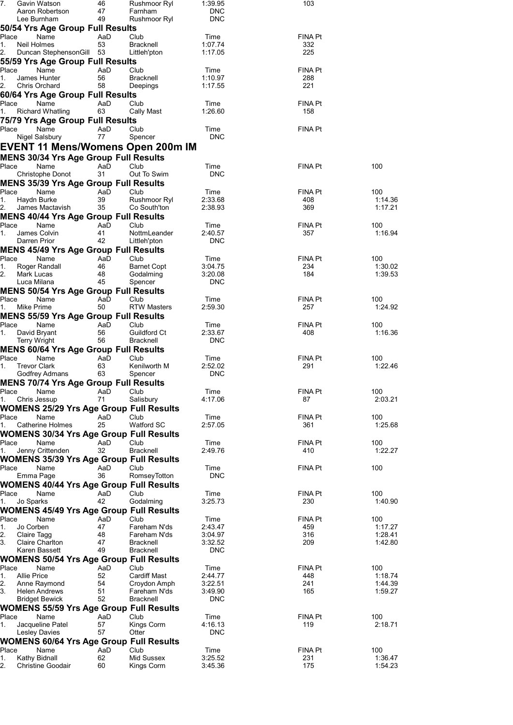| 7.          |                          | Gavin Watson<br>Aaron Robertson                                           | 46<br>47  | Rushmoor Ryl<br>Farnham                  | 1:39.95<br><b>DNC</b> | 103            |                    |
|-------------|--------------------------|---------------------------------------------------------------------------|-----------|------------------------------------------|-----------------------|----------------|--------------------|
|             |                          | Lee Burnham                                                               | 49        | Rushmoor Ryl                             | <b>DNC</b>            |                |                    |
| Place       |                          | 50/54 Yrs Age Group Full Results<br>Name                                  | AaD       | Club                                     | Time                  | FINA Pt        |                    |
| 1.          | Neil Holmes              |                                                                           | 53        | <b>Bracknell</b>                         | 1:07.74               | 332            |                    |
| 2.          |                          | Duncan Stephenson Gill 53                                                 |           | Littleh'pton                             | 1:17.05               | 225            |                    |
| Place       |                          | 55/59 Yrs Age Group Full Results<br>Name                                  | AaD       | Club                                     | Time                  | FINA Pt        |                    |
| 1.          |                          | James Hunter                                                              | 56        | <b>Bracknell</b>                         | 1:10.97               | 288            |                    |
| 2.          |                          | Chris Orchard                                                             | 58        | Deepings                                 | 1:17.55               | 221            |                    |
| Place       |                          | 60/64 Yrs Age Group Full Results<br>Name                                  | AaD       | Club                                     | Time                  | FINA Pt        |                    |
| 1.          |                          | <b>Richard Whatling</b>                                                   | 63        | Cally Mast                               | 1:26.60               | 158            |                    |
|             |                          | 75/79 Yrs Age Group Full Results                                          |           |                                          |                       |                |                    |
| Place       |                          | Name<br>Nigel Salsbury                                                    | AaD<br>77 | Club<br>Spencer                          | Time<br><b>DNC</b>    | FINA Pt        |                    |
|             |                          |                                                                           |           | <b>EVENT 11 Mens/Womens Open 200m IM</b> |                       |                |                    |
|             |                          | <b>MENS 30/34 Yrs Age Group Full Results</b>                              |           |                                          |                       |                |                    |
| Place       |                          | Name                                                                      | AaD       | Club                                     | Time                  | FINA Pt        | 100                |
|             |                          | Christophe Donot                                                          | 31        | Out To Swim                              | <b>DNC</b>            |                |                    |
| Place       |                          | <b>MENS 35/39 Yrs Age Group Full Results</b><br>Name                      | AaD       | Club                                     | Time                  | <b>FINA Pt</b> | 100                |
| 1.          | Haydn Burke              |                                                                           | 39        | Rushmoor Ryl                             | 2:33.68               | 408            | 1:14.36            |
| 2.          |                          | James Mactavish                                                           | 35        | Co South'ton                             | 2:38.93               | 369            | 1:17.21            |
| Place       |                          | <b>MENS 40/44 Yrs Age Group Full Results</b>                              |           |                                          |                       |                |                    |
| 1.          |                          | Name<br>James Colvin                                                      | AaD<br>41 | Club<br>NottmLeander                     | Time<br>2:40.57       | FINA Pt<br>357 | 100<br>1:16.94     |
|             | Darren Prior             |                                                                           | 42        | Littleh'pton                             | <b>DNC</b>            |                |                    |
|             |                          | <b>MENS 45/49 Yrs Age Group Full Results</b>                              |           |                                          |                       |                |                    |
| Place<br>1. |                          | Name<br>Roger Randall                                                     | AaD<br>46 | Club<br><b>Barnet Copt</b>               | Time<br>3:04.75       | FINA Pt<br>234 | 100<br>1:30.02     |
| 2.          | Mark Lucas               |                                                                           | 48        | Godalming                                | 3:20.08               | 184            | 1:39.53            |
|             | Luca Milana              |                                                                           | 45        | Spencer                                  | <b>DNC</b>            |                |                    |
| Place       |                          | <b>MENS 50/54 Yrs Age Group Full Results</b><br>Name                      | AaD       | Club                                     | Time                  | FINA Pt        | 100                |
| 1.          | Mike Prime               |                                                                           | 50        | <b>RTW Masters</b>                       | 2:59.30               | 257            | 1:24.92            |
|             |                          | <b>MENS 55/59 Yrs Age Group Full Results</b>                              |           |                                          |                       |                |                    |
| Place<br>1. | David Bryant             | Name                                                                      | AaD<br>56 | Club<br>Guildford Ct                     | Time<br>2:33.67       | FINA Pt<br>408 | 100<br>1:16.36     |
|             | Terry Wright             |                                                                           | 56        | <b>Bracknell</b>                         | <b>DNC</b>            |                |                    |
|             |                          | <b>MENS 60/64 Yrs Age Group Full Results</b>                              |           |                                          |                       |                |                    |
| Place<br>1. | <b>Trevor Clark</b>      | Name                                                                      | AaD<br>63 | Club<br>Kenilworth M                     | Time<br>2:52.02       | FINA Pt<br>291 | 100<br>1:22.46     |
|             |                          | Godfrey Admans                                                            | 63        | Spencer                                  | <b>DNC</b>            |                |                    |
|             |                          | <b>MENS 70/74 Yrs Age Group Full Results</b>                              |           |                                          |                       |                |                    |
| Place<br>1. | Chris Jessup             | Name                                                                      | AaD<br>71 | Club<br>Salisbury                        | Time<br>4:17.06       | FINA Pt<br>87  | 100<br>2:03.21     |
|             |                          | <b>WOMENS 25/29 Yrs Age Group Full Results</b>                            |           |                                          |                       |                |                    |
| Place       |                          | Name                                                                      | AaD       | Club                                     | Time                  | FINA Pt        | 100                |
| 1.          |                          | <b>Catherine Holmes</b><br><b>WOMENS 30/34 Yrs Age Group Full Results</b> | 25        | Watford SC                               | 2:57.05               | 361            | 1:25.68            |
| Place       |                          | Name                                                                      | AaD       | Club                                     | Time                  | FINA Pt        | 100                |
| 1.          |                          | Jenny Crittenden                                                          | 32        | <b>Bracknell</b>                         | 2:49.76               | 410            | 1:22.27            |
| Place       |                          | <b>WOMENS 35/39 Yrs Age Group Full Results</b><br>Name                    | AaD       | Club                                     | Time                  | FINA Pt        | 100                |
|             | Emma Page                |                                                                           | 36        | RomseyTotton                             | <b>DNC</b>            |                |                    |
|             |                          | <b>WOMENS 40/44 Yrs Age Group Full Results</b>                            |           |                                          |                       |                |                    |
| Place<br>1. | Jo Sparks                | Name                                                                      | AaD<br>42 | Club<br>Godalming                        | Time<br>3:25.73       | FINA Pt<br>230 | 100<br>1:40.90     |
|             |                          | <b>WOMENS 45/49 Yrs Age Group Full Results</b>                            |           |                                          |                       |                |                    |
| Place       |                          | Name                                                                      | AaD       | Club                                     | Time                  | FINA Pt        | 100                |
| 1.<br>2.    | Jo Corben<br>Claire Tagg |                                                                           | 47<br>48  | Fareham N'ds<br>Fareham N'ds             | 2:43.47<br>3:04.97    | 459<br>316     | 1:17.27<br>1:28.41 |
| 3.          |                          | <b>Claire Charlton</b>                                                    | 47        | <b>Bracknell</b>                         | 3:32.52               | 209            | 1:42.80            |
|             |                          | Karen Bassett                                                             | 49        | <b>Bracknell</b>                         | <b>DNC</b>            |                |                    |
| Place       |                          | WOMENS 50/54 Yrs Age Group Full Results<br>Name                           | AaD       | Club                                     | Time                  | FINA Pt        | 100                |
| 1.          | <b>Allie Price</b>       |                                                                           | 52        | <b>Cardiff Mast</b>                      | 2:44.77               | 448            | 1:18.74            |
| 2.          |                          | Anne Raymond                                                              | 54        | Croydon Amph                             | 3:22.51               | 241            | 1:44.39            |
| 3.          |                          | <b>Helen Andrews</b><br><b>Bridget Bewick</b>                             | 51<br>52  | Fareham N'ds<br><b>Bracknell</b>         | 3:49.90<br><b>DNC</b> | 165            | 1:59.27            |
|             |                          | <b>WOMENS 55/59 Yrs Age Group Full Results</b>                            |           |                                          |                       |                |                    |
| Place       |                          | Name                                                                      | AaD       | Club                                     | Time                  | FINA Pt        | 100                |
| 1.          |                          | Jacqueline Patel<br><b>Lesley Davies</b>                                  | 57<br>57  | Kings Corm<br>Otter                      | 4:16.13<br><b>DNC</b> | 119            | 2:18.71            |
|             |                          | <b>WOMENS 60/64 Yrs Age Group Full Results</b>                            |           |                                          |                       |                |                    |
| Place       |                          | Name                                                                      | AaD       | Club                                     | Time                  | FINA Pt        | 100                |
| 1.<br>2.    | Kathy Bidnall            | <b>Christine Goodair</b>                                                  | 62<br>60  | Mid Sussex<br>Kings Corm                 | 3:25.52<br>3:45.36    | 231<br>175     | 1:36.47<br>1:54.23 |
|             |                          |                                                                           |           |                                          |                       |                |                    |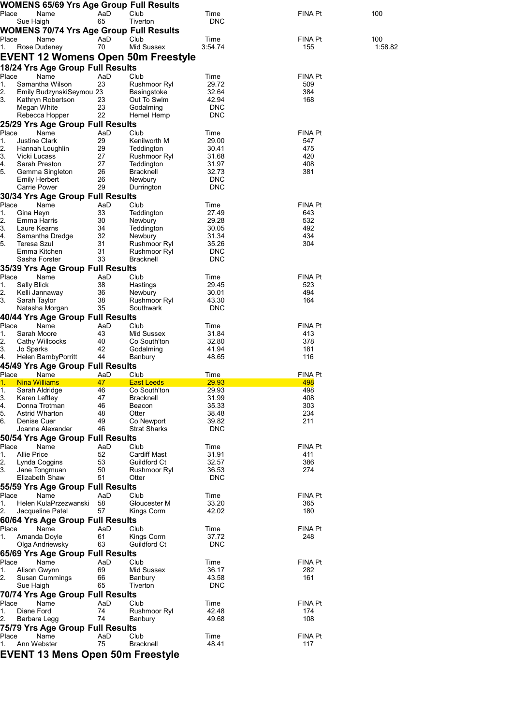|             | <b>WOMENS 65/69 Yrs Age Group Full Results</b>              |           |                              |                     |                |         |
|-------------|-------------------------------------------------------------|-----------|------------------------------|---------------------|----------------|---------|
| Place       | Name                                                        | AaD<br>65 | Club                         | Time<br><b>DNC</b>  | FINA Pt        | 100     |
|             | Sue Haigh<br><b>WOMENS 70/74 Yrs Age Group Full Results</b> |           | Tiverton                     |                     |                |         |
| Place       | Name                                                        | AaD       | Club                         | Time                | FINA Pt        | 100     |
| 1.          | Rose Dudeney                                                | 70        | Mid Sussex                   | 3:54.74             | 155            | 1:58.82 |
|             | <b>EVENT 12 Womens Open 50m Freestyle</b>                   |           |                              |                     |                |         |
|             | 18/24 Yrs Age Group Full Results                            |           |                              |                     |                |         |
| Place       | Name                                                        | AaD       | Club                         | Time                | FINA Pt        |         |
| 1.<br>2.    | Samantha Wilson<br>Emily BudzynskiSeymou 23                 | 23        | Rushmoor Ryl<br>Basingstoke  | 29.72<br>32.64      | 509<br>384     |         |
| 3.          | Kathryn Robertson                                           | 23        | Out To Swim                  | 42.94               | 168            |         |
|             | Megan White                                                 | 23        | Godalming                    | <b>DNC</b>          |                |         |
|             | Rebecca Hopper                                              | 22        | Hemel Hemp                   | <b>DNC</b>          |                |         |
| Place       | 25/29 Yrs Age Group Full Results<br>Name                    | AaD       | Club                         | Time                | FINA Pt        |         |
| 1.          | <b>Justine Clark</b>                                        | 29        | Kenilworth M                 | 29.00               | 547            |         |
| 2.          | Hannah Loughlin                                             | 29        | Teddington                   | 30.41               | 475            |         |
| 3.          | Vicki Lucass                                                | 27        | Rushmoor Ryl                 | 31.68               | 420            |         |
| 4.<br>5.    | Sarah Preston<br>Gemma Singleton                            | 27<br>26  | Teddington<br>Bracknell      | 31.97<br>32.73      | 408<br>381     |         |
|             | Emily Herbert                                               | 26        | Newbury                      | <b>DNC</b>          |                |         |
|             | Carrie Power                                                | 29        | Durrington                   | <b>DNC</b>          |                |         |
|             | 30/34 Yrs Age Group Full Results                            |           |                              |                     |                |         |
| Place<br>1. | Name<br>Gina Heyn                                           | AaD<br>33 | Club<br>Teddington           | Time<br>27.49       | FINA Pt<br>643 |         |
| 2.          | Emma Harris                                                 | 30        | Newbury                      | 29.28               | 532            |         |
| 3.          | Laure Kearns                                                | 34        | Teddington                   | 30.05               | 492            |         |
| 4.          | Samantha Dredge                                             | 32        | Newbury                      | 31.34               | 434            |         |
| 5.          | Teresa Szul<br>Emma Kitchen                                 | 31<br>31  | Rushmoor Ryl<br>Rushmoor Ryl | 35.26<br><b>DNC</b> | 304            |         |
|             | Sasha Forster                                               | 33        | <b>Bracknell</b>             | <b>DNC</b>          |                |         |
|             | 35/39 Yrs Age Group Full Results                            |           |                              |                     |                |         |
| Place       | Name                                                        | AaD       | Club                         | Time                | FINA Pt        |         |
| 1.<br>2.    | Sally Blick<br>Kelli Jannaway                               | 38<br>36  | Hastings<br>Newbury          | 29.45<br>30.01      | 523<br>494     |         |
| 3.          | Sarah Taylor                                                | 38        | Rushmoor Ryl                 | 43.30               | 164            |         |
|             | Natasha Morgan                                              | 35        | Southwark                    | <b>DNC</b>          |                |         |
|             | 40/44 Yrs Age Group Full Results                            |           |                              |                     |                |         |
| Place       | Name<br>Sarah Moore                                         | AaD       | Club                         | Time                | <b>FINA Pt</b> |         |
| 1.<br>2.    | Cathy Willcocks                                             | 43<br>40  | Mid Sussex<br>Co South'ton   | 31.84<br>32.80      | 413<br>378     |         |
| 3.          | Jo Sparks                                                   | 42        | Godalming                    | 41.94               | 181            |         |
| 4.          | Helen BarnbyPorritt                                         | 44        | Banbury                      | 48.65               | 116            |         |
|             | 45/49 Yrs Age Group Full Results                            |           |                              |                     |                |         |
| Place<br>1. | Name<br><b>Nina Williams</b>                                | AaD<br>47 | Club<br><b>East Leeds</b>    | Time<br>29.93       | FINA Pt<br>498 |         |
| 1.          | Sarah Aldridge                                              | 46        | Co South'ton                 | 29.93               | 498            |         |
| 3.          | Karen Leftley                                               | 47        | Bracknell                    | 31.99               | 408            |         |
| 4.<br>5.    | Donna Trotman<br>Astrid Wharton                             | 46<br>48  | Beacon<br>Otter              | 35.33<br>38.48      | 303<br>234     |         |
| 6.          | Denise Cuer                                                 | 49        | Co Newport                   | 39.82               | 211            |         |
|             | Joanne Alexander                                            | 46        | <b>Strat Sharks</b>          | <b>DNC</b>          |                |         |
|             | 50/54 Yrs Age Group Full Results                            |           |                              |                     |                |         |
| Place<br>1. | Name<br><b>Allie Price</b>                                  | AaD<br>52 | Club<br><b>Cardiff Mast</b>  | Time<br>31.91       | FINA Pt<br>411 |         |
| 2.          | Lynda Coggins                                               | 53        | Guildford Ct                 | 32.57               | 386            |         |
| 3.          | Jane Tongmuan                                               | 50        | Rushmoor Ryl                 | 36.53               | 274            |         |
|             | Elizabeth Shaw                                              | 51        | Otter                        | <b>DNC</b>          |                |         |
|             | 55/59 Yrs Age Group Full Results<br>Name                    |           |                              |                     |                |         |
| Place<br>1. | Helen KulaPrzezwanski                                       | AaD<br>58 | Club<br>Gloucester M         | Time<br>33.20       | FINA Pt<br>365 |         |
| 2.          | Jacqueline Patel                                            | 57        | Kings Corm                   | 42.02               | 180            |         |
|             | 60/64 Yrs Age Group Full Results                            |           |                              |                     |                |         |
| Place       | Name                                                        | AaD       | Club                         | Time                | FINA Pt        |         |
| 1.          | Amanda Doyle<br>Olga Andriewsky                             | 61<br>63  | Kings Corm<br>Guildford Ct   | 37.72<br><b>DNC</b> | 248            |         |
|             | 65/69 Yrs Age Group Full Results                            |           |                              |                     |                |         |
| Place       | Name                                                        | AaD       | Club                         | Time                | FINA Pt        |         |
| 1.          | Alison Gwynn                                                | 69        | Mid Sussex                   | 36.17               | 282            |         |
| 2.          | Susan Cummings                                              | 66        | Banbury                      | 43.58               | 161            |         |
|             | Sue Haigh                                                   | 65        | Tiverton                     | <b>DNC</b>          |                |         |
| Place       | 70/74 Yrs Age Group Full Results<br>Name                    | AaD       | Club                         | Time                | FINA Pt        |         |
| 1.          | Diane Ford                                                  | 74        | Rushmoor Ryl                 | 42.48               | 174            |         |
| 2.          | Barbara Legg                                                | 74        | Banbury                      | 49.68               | 108            |         |
|             | 75/79 Yrs Age Group Full Results                            |           |                              |                     |                |         |
| Place<br>1. | Name<br>Ann Webster                                         | AaD<br>75 | Club<br><b>Bracknell</b>     | Time<br>48.41       | FINA Pt<br>117 |         |
|             | <b>EVENT 13 Mens Open 50m Freestyle</b>                     |           |                              |                     |                |         |
|             |                                                             |           |                              |                     |                |         |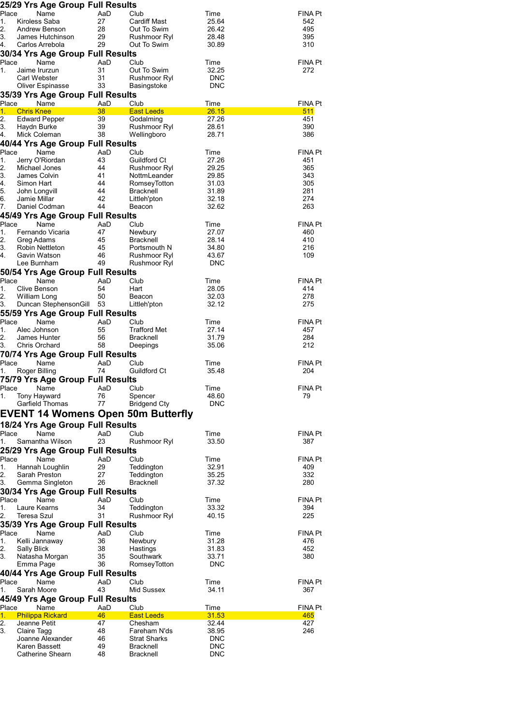|             | 25/29 Yrs Age Group Full Results                 |           |                                    |                     |                       |
|-------------|--------------------------------------------------|-----------|------------------------------------|---------------------|-----------------------|
| Place       | Name                                             | AaD       | Club                               | Time                | <b>FINA Pt</b>        |
| 1.          | Kiroless Saba                                    | 27        | <b>Cardiff Mast</b>                | 25.64               | 542                   |
| 2.          | Andrew Benson                                    | 28        | Out To Swim                        | 26.42               | 495                   |
| 3.          | James Hutchinson<br>Carlos Arrebola              | 29<br>29  | Rushmoor Ryl                       | 28.48               | 395<br>310            |
| 4.          |                                                  |           | Out To Swim                        | 30.89               |                       |
| Place       | 30/34 Yrs Age Group Full Results<br>Name         | AaD       | Club                               | Time                | <b>FINA Pt</b>        |
| 1.          | Jaime Irurzun                                    | 31        | Out To Swim                        | 32.25               | 272                   |
|             | Carl Webster                                     | 31        | Rushmoor Ryl                       | <b>DNC</b>          |                       |
|             | Oliver Espinasse                                 | 33        | Basingstoke                        | <b>DNC</b>          |                       |
|             | 35/39 Yrs Age Group Full Results                 |           |                                    |                     |                       |
| Place       | Name                                             | AaD       | Club                               | Time                | <b>FINA Pt</b>        |
| 1.          | <b>Chris Knee</b>                                | 38        | <b>East Leeds</b>                  | 26.15               | 511                   |
| 2.          | <b>Edward Pepper</b>                             | 39        | Godalming                          | 27.26               | 451                   |
| 3.          | Haydn Burke                                      | 39<br>38  | Rushmoor Ryl                       | 28.61               | 390                   |
| 4.          | Mick Coleman<br>40/44 Yrs Age Group Full Results |           | Wellingboro                        | 28.71               | 386                   |
| Place       | Name                                             | AaD       | Club                               | Time                | <b>FINA Pt</b>        |
| 1.          | Jerry O'Riordan                                  | 43        | Guildford Ct                       | 27.26               | 451                   |
| 2.          | Michael Jones                                    | 44        | Rushmoor Ryl                       | 29.25               | 365                   |
| 3.          | James Colvin                                     | 41        | NottmLeander                       | 29.85               | 343                   |
| 4.          | Simon Hart                                       | 44        | RomseyTotton                       | 31.03               | 305                   |
| 5.          | John Longvill                                    | 44        | Bracknell                          | 31.89               | 281                   |
| 6.          | Jamie Millar<br>Daniel Codman                    | 42        | Littleh'pton<br>Beacon             | 32.18               | 274<br>263            |
| 7.          |                                                  | 44        |                                    | 32.62               |                       |
| Place       | 45/49 Yrs Age Group Full Results<br>Name         | AaD       | Club                               | Time                | <b>FINA Pt</b>        |
| 1.          | Fernando Vicaria                                 | 47        | Newbury                            | 27.07               | 460                   |
| 2.          | Greg Adams                                       | 45        | Bracknell                          | 28.14               | 410                   |
| 3.          | Robin Nettleton                                  | 45        | Portsmouth N                       | 34.80               | 216                   |
| 4.          | Gavin Watson                                     | 46        | Rushmoor Ryl                       | 43.67               | 109                   |
|             | Lee Burnham                                      | 49        | Rushmoor Ryl                       | <b>DNC</b>          |                       |
|             | 50/54 Yrs Age Group Full Results                 |           |                                    |                     |                       |
| Place       | Name                                             | AaD       | Club                               | Time                | <b>FINA Pt</b>        |
| 1.          | Clive Benson                                     | 54        | Hart                               | 28.05               | 414                   |
| 2.<br>3.    | William Long<br>Duncan StephensonGill 53         | 50        | Beacon<br>Littleh'pton             | 32.03<br>32.12      | 278<br>275            |
|             | 55/59 Yrs Age Group Full Results                 |           |                                    |                     |                       |
| Place       | Name                                             | AaD       | Club                               | Time                | <b>FINA Pt</b>        |
| 1.          | Alec Johnson                                     | 55        | <b>Trafford Met</b>                | 27.14               | 457                   |
| 2.          | James Hunter                                     | 56        | Bracknell                          | 31.79               | 284                   |
| 3.          | Chris Orchard                                    | 58        | Deepings                           | 35.06               | 212                   |
|             | 70/74 Yrs Age Group Full Results                 |           |                                    |                     |                       |
| Place       | Name                                             | AaD       | Club                               | Time                | <b>FINA Pt</b>        |
| 1.          | Roger Billing                                    | 74        | Guildford Ct                       | 35.48               | 204                   |
|             | 75/79 Yrs Age Group Full Results                 |           |                                    |                     |                       |
| Place       | Name                                             | AaD       | Club                               | Time                | <b>FINA Pt</b>        |
| 1.          | Tony Hayward<br>Garfield Thomas                  | 76<br>77  | Spencer<br><b>Bridgend Cty</b>     | 48.60<br><b>DNC</b> | 79                    |
|             |                                                  |           |                                    |                     |                       |
|             |                                                  |           | EVENT 14 Womens Open 50m Butterfly |                     |                       |
|             | 18/24 Yrs Age Group Full Results                 |           |                                    |                     |                       |
| Place<br>1. | Name<br>Samantha Wilson                          | AaD<br>23 | Club<br>Rushmoor Ryl               | Time<br>33.50       | <b>FINA Pt</b><br>387 |
|             |                                                  |           |                                    |                     |                       |
| Place       | 25/29 Yrs Age Group Full Results<br>Name         | AaD       | Club                               | Time                | <b>FINA Pt</b>        |
| 1.          | Hannah Loughlin                                  | 29        | Teddington                         | 32.91               | 409                   |
| 2.          | Sarah Preston                                    | 27        | Teddington                         | 35.25               | 332                   |
| 3.          | Gemma Singleton                                  | 26        | <b>Bracknell</b>                   | 37.32               | 280                   |
|             | 30/34 Yrs Age Group Full Results                 |           |                                    |                     |                       |
| Place       | Name                                             | AaD       | Club                               | Time                | <b>FINA Pt</b>        |
| 1.          | Laure Kearns                                     | 34        | Teddington                         | 33.32               | 394                   |
| 2.          | Teresa Szul                                      | 31        | Rushmoor Ryl                       | 40.15               | 225                   |
|             | 35/39 Yrs Age Group Full Results                 |           |                                    |                     |                       |
| Place<br>1. | Name                                             | AaD<br>36 | Club                               | Time<br>31.28       | <b>FINA Pt</b><br>476 |
| 2.          | Kelli Jannaway<br>Sally Blick                    | 38        | Newbury<br>Hastings                | 31.83               | 452                   |
| 3.          | Natasha Morgan                                   | 35        | Southwark                          | 33.71               | 380                   |
|             | Emma Page                                        | 36        | RomseyTotton                       | <b>DNC</b>          |                       |
|             | 40/44 Yrs Age Group Full Results                 |           |                                    |                     |                       |
| Place       | Name                                             | AaD       | Club                               | Time                | <b>FINA Pt</b>        |
| 1.          | Sarah Moore                                      | 43        | Mid Sussex                         | 34.11               | 367                   |
|             | 45/49 Yrs Age Group Full Results                 |           |                                    |                     |                       |
| Place       | Name                                             | AaD       | Club                               | Time                | <b>FINA Pt</b>        |
| 1.<br>2.    | <b>Philippa Rickard</b>                          | 46<br>47  | <b>East Leeds</b>                  | 31.53<br>32.44      | 465<br>427            |
| 3.          | Jeanne Petit<br>Claire Tagg                      | 48        | Chesham<br>Fareham N'ds            | 38.95               | 246                   |
|             | Joanne Alexander                                 | 46        | <b>Strat Sharks</b>                | <b>DNC</b>          |                       |
|             | Karen Bassett                                    | 49        | Bracknell                          | <b>DNC</b>          |                       |
|             | Catherine Shearn                                 | 48        | <b>Bracknell</b>                   | <b>DNC</b>          |                       |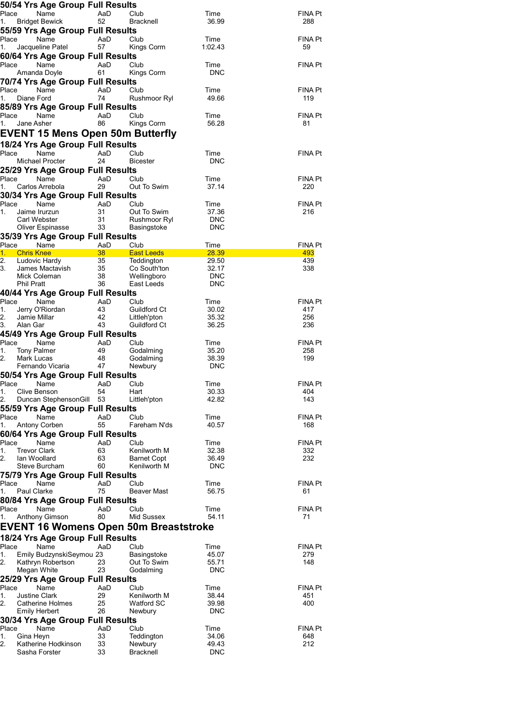|             | 50/54 Yrs Age Group Full Results              |                                         |                                              |                          |                |
|-------------|-----------------------------------------------|-----------------------------------------|----------------------------------------------|--------------------------|----------------|
| Place       | Name                                          | AaD                                     | Club                                         | Time                     | FINA Pt        |
| 1.          | <b>Bridget Bewick</b>                         | 52                                      | Bracknell                                    | 36.99                    | 288            |
|             |                                               | 55/59 Yrs Age Group Full Results        |                                              |                          |                |
| Place<br>1. | Name<br>Jacqueline Patel                      | AaD<br>57                               | Club<br>Kings Corm                           | Time<br>1:02.43          | FINA Pt<br>59  |
|             |                                               | 60/64 Yrs Age Group Full Results        |                                              |                          |                |
|             | Place<br>Name                                 | AaD                                     | Club                                         | Time                     | FINA Pt        |
|             | Amanda Doyle                                  | 61                                      | Kings Corm                                   | <b>DNC</b>               |                |
|             |                                               | 70/74 Yrs Age Group Full Results        |                                              |                          |                |
| Place       | Name                                          | AaD                                     | Club                                         | Time                     | FINA Pt        |
| 1.          | Diane Ford                                    | 74                                      | Rushmoor Ryl                                 | 49.66                    | 119            |
|             |                                               | 85/89 Yrs Age Group Full Results        |                                              |                          |                |
| Place       | Name                                          | AaD                                     | Club                                         | Time                     | FINA Pt        |
| 1.          | Jane Asher                                    | 86                                      | Kings Corm                                   | 56.28                    | 81             |
|             |                                               |                                         | <b>EVENT 15 Mens Open 50m Butterfly</b>      |                          |                |
|             |                                               | 18/24 Yrs Age Group Full Results        |                                              |                          |                |
| Place       | Name<br>Michael Procter                       | AaD<br>24                               | Club<br><b>Bicester</b>                      | Time<br><b>DNC</b>       | FINA Pt        |
|             |                                               | 25/29 Yrs Age Group Full Results        |                                              |                          |                |
| Place       | Name                                          | AaD                                     | Club                                         | Time                     | FINA Pt        |
| 1.          | Carlos Arrebola                               | 29                                      | Out To Swim                                  | 37.14                    | 220            |
|             |                                               | 30/34 Yrs Age Group Full Results        |                                              |                          |                |
| Place       | Name                                          | AaD                                     | Club                                         | Time                     | FINA Pt        |
| 1.          | Jaime Irurzun                                 | 31                                      | Out To Swim                                  | 37.36                    | 216            |
|             | Carl Webster<br>Oliver Espinasse              | 31<br>33                                | Rushmoor Ryl<br>Basingstoke                  | <b>DNC</b><br><b>DNC</b> |                |
|             |                                               | 35/39 Yrs Age Group Full Results        |                                              |                          |                |
| Place       | Name                                          | AaD                                     | Club                                         | Time                     | FINA Pt        |
| 1.          | <b>Chris Knee</b>                             | 38 <sup>°</sup>                         | <b>East Leeds</b>                            | 28.39                    | 493            |
| 2.<br>3.    | Ludovic Hardy                                 | 35                                      | Teddington                                   | 29.50                    | 439            |
|             | James Mactavish<br>Mick Coleman               | 35<br>38                                | Co South'ton<br>Wellingboro                  | 32.17<br><b>DNC</b>      | 338            |
|             | <b>Phil Pratt</b>                             | 36                                      | East Leeds                                   | <b>DNC</b>               |                |
|             |                                               | 40/44 Yrs Age Group Full Results        |                                              |                          |                |
|             | Place Name                                    | AaD                                     | Club                                         | Time                     | FINA Pt        |
| 1.          | Jerry O'Riordan                               | 43                                      | Guildford Ct                                 | 30.02                    | 417            |
| 2.<br>3.    | Jamie Millar<br>Alan Gar                      | 42<br>43                                | Littleh'pton<br>Guildford Ct                 | 35.32<br>36.25           | 256<br>236     |
|             |                                               | 45/49 Yrs Age Group Full Results        |                                              |                          |                |
| Place       | Name                                          | AaD                                     | Club                                         | Time                     | FINA Pt        |
| 1.          | Tony Palmer                                   | 49                                      | Godalming                                    | 35.20                    | 258            |
| 2.          | Mark Lucas                                    | 48                                      | Godalming                                    | 38.39                    | 199            |
|             | Fernando Vicaria                              | 47                                      | Newbury                                      | <b>DNC</b>               |                |
|             |                                               | 50/54 Yrs Age Group Full Results        |                                              |                          |                |
| 1.          | Clive Benson                                  | Place Name - AaD Club<br>54             | Hart                                         | Time<br>30.33            | FINA Pt<br>404 |
| 2.          | Duncan StephensonGill 53                      |                                         |                                              |                          |                |
|             |                                               |                                         |                                              | 42.82                    | 143            |
| Place       |                                               |                                         | Littleh'pton                                 |                          |                |
|             | Name                                          | 55/59 Yrs Age Group Full Results<br>AaD | Club                                         | Time                     | FINA Pt        |
| 1.          | Antony Corben                                 | 55                                      | Fareham N'ds                                 | 40.57                    | 168            |
|             |                                               | 60/64 Yrs Age Group Full Results        |                                              |                          |                |
| Place       | Name                                          | AaD                                     | Club                                         | Time                     | FINA Pt        |
| 1.          | <b>Trevor Clark</b>                           | 63                                      | Kenilworth M                                 | 32.38                    | 332            |
| 2.          | lan Woollard<br>Steve Burcham                 | 63<br>60                                | <b>Barnet Copt</b><br>Kenilworth M           | 36.49<br><b>DNC</b>      | 232            |
|             |                                               | 75/79 Yrs Age Group Full Results        |                                              |                          |                |
| Place       | Name                                          | AaD                                     | Club                                         | Time                     | FINA Pt        |
| 1.          | <b>Paul Clarke</b>                            | 75                                      | Beaver Mast                                  | 56.75                    | 61             |
|             |                                               | 80/84 Yrs Age Group Full Results        |                                              |                          |                |
| Place       | Name                                          | AaD                                     | Club                                         | Time                     | FINA Pt        |
| 1.          | <b>Anthony Gimson</b>                         | 80                                      | Mid Sussex                                   | 54.11                    | 71             |
|             |                                               |                                         | <b>EVENT 16 Womens Open 50m Breaststroke</b> |                          |                |
|             |                                               | 18/24 Yrs Age Group Full Results        |                                              |                          |                |
| Place<br>1. | Name                                          | AaD                                     | Club                                         | Time                     | FINA Pt        |
| 2.          | Emily BudzynskiSeymou 23<br>Kathryn Robertson | 23                                      | Basingstoke<br>Out To Swim                   | 45.07<br>55.71           | 279<br>148     |
|             | Megan White                                   | 23                                      | Godalming                                    | <b>DNC</b>               |                |
|             |                                               | 25/29 Yrs Age Group Full Results        |                                              |                          |                |
| Place       | Name                                          | AaD                                     | Club                                         | Time                     | FINA Pt        |
| 1.          | <b>Justine Clark</b>                          | 29                                      | Kenilworth M                                 | 38.44                    | 451            |
| 2.          | Catherine Holmes<br>Emily Herbert             | 25<br>26                                | <b>Watford SC</b><br>Newbury                 | 39.98<br><b>DNC</b>      | 400            |
|             |                                               | 30/34 Yrs Age Group Full Results        |                                              |                          |                |
| Place       | Name                                          | AaD                                     | Club                                         | Time                     | FINA Pt        |
| 1.          | Gina Heyn                                     | 33                                      | Teddington                                   | 34.06                    | 648            |
| 2.          | Katherine Hodkinson<br>Sasha Forster          | 33<br>33                                | Newbury<br><b>Bracknell</b>                  | 49.43<br><b>DNC</b>      | 212            |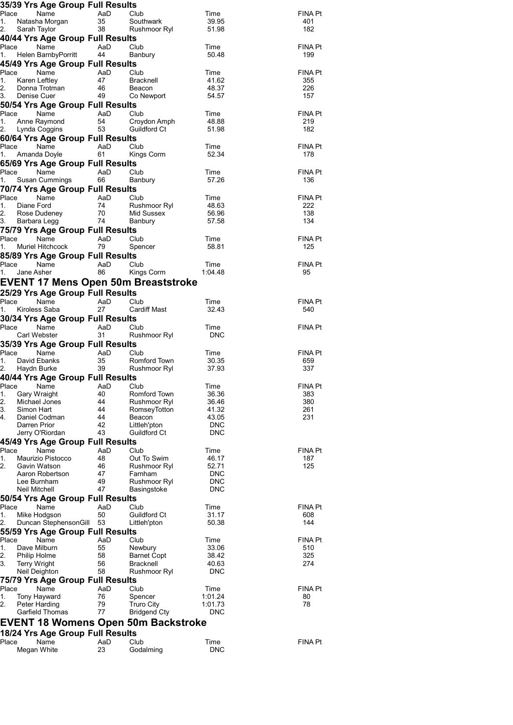|             |                                     | 35/39 Yrs Age Group Full Results         |           |                                            |                          |                |
|-------------|-------------------------------------|------------------------------------------|-----------|--------------------------------------------|--------------------------|----------------|
| Place       |                                     | Name                                     | AaD       | Club                                       | Time                     | FINA Pt        |
| 1.<br>2.    | Sarah Taylor                        | Natasha Morgan                           | 35<br>38  | Southwark<br>Rushmoor Ryl                  | 39.95<br>51.98           | 401<br>182     |
|             |                                     | 40/44 Yrs Age Group Full Results         |           |                                            |                          |                |
| Place       |                                     | Name                                     | AaD       | Club                                       | Time                     | FINA Pt        |
| 1.          |                                     | Helen BarnbyPorritt                      | 44        | Banbury                                    | 50.48                    | 199            |
|             |                                     | 45/49 Yrs Age Group Full Results         |           |                                            |                          |                |
|             | Place                               | Name                                     | AaD       | Club                                       | Time                     | FINA Pt        |
| 1.          | Karen Leftley                       |                                          | 47        | Bracknell                                  | 41.62                    | 355            |
| 2.          |                                     | Donna Trotman                            | 46        | Beacon                                     | 48.37                    | 226            |
| 3.          | Denise Cuer                         |                                          | 49        | Co Newport                                 | 54.57                    | 157            |
|             |                                     | 50/54 Yrs Age Group Full Results         |           |                                            |                          |                |
| Place       |                                     | Name                                     | AaD       | Club                                       | Time                     | FINA Pt        |
| 1.          |                                     | Anne Raymond                             | 54        | Croydon Amph                               | 48.88                    | 219            |
| 2.          | Lynda Coggins                       |                                          | 53        | Guildford Ct                               | 51.98                    | 182            |
| Place       |                                     | 60/64 Yrs Age Group Full Results         |           |                                            |                          |                |
|             |                                     | Name<br>1. Amanda Doyle                  | AaD<br>61 | Club<br>Kings Corm                         | Time<br>52.34            | FINA Pt<br>178 |
|             |                                     | 65/69 Yrs Age Group Full Results         |           |                                            |                          |                |
|             | Place                               | Name                                     | AaD       | Club                                       | Time                     | FINA Pt        |
| 1.          |                                     | Susan Cummings                           | 66        | Banbury                                    | 57.26                    | 136            |
|             |                                     | 70/74 Yrs Age Group Full Results         |           |                                            |                          |                |
| Place       |                                     | Name                                     | AaD       | Club                                       | Time                     | FINA Pt        |
| 1.          | Diane Ford                          |                                          | 74        | Rushmoor Ryl                               | 48.63                    | 222            |
| 2.          |                                     | Rose Dudeney                             | 70<br>74  | Mid Sussex                                 | 56.96                    | 138            |
| 3.          | Barbara Legg                        |                                          |           | Banbury                                    | 57.58                    | 134            |
|             |                                     | 75/79 Yrs Age Group Full Results         |           |                                            |                          |                |
| Place       |                                     | Name                                     | AaD       | Club                                       | Time                     | FINA Pt        |
| 1.          |                                     | Muriel Hitchcock                         | 79        | Spencer                                    | 58.81                    | 125            |
|             |                                     | 85/89 Yrs Age Group Full Results         |           |                                            |                          |                |
| Place<br>1. | Jane Asher                          | Name                                     | AaD<br>86 | Club<br>Kings Corm                         | Time<br>1:04.48          | FINA Pt<br>95  |
|             |                                     |                                          |           |                                            |                          |                |
|             |                                     |                                          |           | <b>EVENT 17 Mens Open 50m Breaststroke</b> |                          |                |
|             |                                     | 25/29 Yrs Age Group Full Results         |           |                                            |                          |                |
| Place       | Kiroless Saba                       | Name                                     | AaD<br>27 | Club<br><b>Cardiff Mast</b>                | Time<br>32.43            | FINA Pt<br>540 |
| 1.          |                                     |                                          |           |                                            |                          |                |
| Place       |                                     | 30/34 Yrs Age Group Full Results<br>Name | AaD       | Club                                       | Time                     | FINA Pt        |
|             | Carl Webster                        |                                          | 31        | Rushmoor Ryl                               | DNC                      |                |
|             |                                     | 35/39 Yrs Age Group Full Results         |           |                                            |                          |                |
|             | Place                               | Name                                     | AaD       | Club                                       | Time                     | FINA Pt        |
| 1.          | David Ebanks                        |                                          | 35        | Romford Town                               | 30.35                    | 659            |
|             | Haydn Burke                         |                                          | 39        | Rushmoor Ryl                               | 37.93                    | 337            |
|             |                                     | 40/44 Yrs Age Group Full Results         |           |                                            |                          |                |
|             |                                     | Place Name AaD Club                      |           |                                            | Time                     | FINA Pt        |
| 1.          | Gary Wraight                        |                                          | 40        | Romford Town                               | 36.36                    | 383            |
| 2.<br>3.    | Michael Jones<br>Simon Hart         |                                          | 44<br>44  | Rushmoor Ryl<br>RomseyTotton               | 36.46<br>41.32           | 380<br>261     |
| 4.          |                                     | Daniel Codman                            | 44        | Beacon                                     | 43.05                    | 231            |
|             | Darren Prior                        |                                          | 42        | Littleh'pton                               | <b>DNC</b>               |                |
|             |                                     | Jerry O'Riordan                          | 43        | Guildford Ct                               | <b>DNC</b>               |                |
|             |                                     | 45/49 Yrs Age Group Full Results         |           |                                            |                          |                |
| Place       |                                     | Name                                     | AaD       | Club                                       | Time                     | FINA Pt        |
| 1.          |                                     | Maurizio Pistocco                        | 48        | Out To Swim                                | 46.17                    | 187            |
| 2.          | Gavin Watson                        |                                          | 46        | Rushmoor Ryl                               | 52.71                    | 125            |
|             | Lee Burnham                         | Aaron Robertson                          | 47<br>49  | Farnham<br>Rushmoor Ryl                    | <b>DNC</b><br><b>DNC</b> |                |
|             | Neil Mitchell                       |                                          | 47        | Basingstoke                                | <b>DNC</b>               |                |
|             |                                     | 50/54 Yrs Age Group Full Results         |           |                                            |                          |                |
| Place       |                                     | Name                                     | AaD       | Club                                       | Time                     | <b>FINA Pt</b> |
| 1.          | Mike Hodgson                        |                                          | 50        | Guildford Ct                               | 31.17                    | 608            |
| 2.          |                                     | Duncan StephensonGill 53                 |           | Littleh'pton                               | 50.38                    | 144            |
|             |                                     | 55/59 Yrs Age Group Full Results         |           |                                            |                          |                |
| Place       |                                     | Name                                     | AaD       | Club                                       | Time                     | FINA Pt        |
| 1.          | Dave Milburn                        |                                          | 55        | Newbury                                    | 33.06                    | 510            |
| 2.<br>3.    | Philip Holme<br><b>Terry Wright</b> |                                          | 58<br>56  | <b>Barnet Copt</b><br>Bracknell            | 38.42<br>40.63           | 325<br>274     |
|             | Neil Deighton                       |                                          | 58        | Rushmoor Ryl                               | <b>DNC</b>               |                |
|             |                                     | 75/79 Yrs Age Group Full Results         |           |                                            |                          |                |
| Place       |                                     | Name                                     | AaD       | Club                                       | Time                     | <b>FINA Pt</b> |
|             |                                     |                                          | 76        | Spencer                                    | 1:01.24                  | 80             |
| 1.          | Tony Hayward                        |                                          |           |                                            |                          |                |
| 2.          | Peter Harding                       |                                          | 79        | <b>Truro City</b>                          | 1:01.73                  | 78             |
|             |                                     | Garfield Thomas                          | 77        | <b>Bridgend Cty</b>                        | <b>DNC</b>               |                |
|             |                                     |                                          |           | <b>EVENT 18 Womens Open 50m Backstroke</b> |                          |                |
|             |                                     | 18/24 Yrs Age Group Full Results         |           |                                            |                          |                |
| Place       |                                     | Name                                     | AaD       | Club                                       | Time                     | FINA Pt        |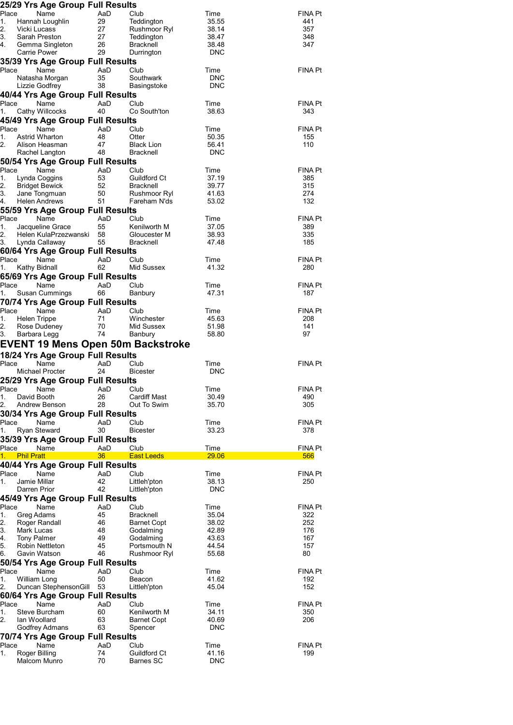| 25/29 Yrs Age Group Full Results                       |           |                           |                     |                |
|--------------------------------------------------------|-----------|---------------------------|---------------------|----------------|
| Place<br>Name                                          | AaD       | Club                      | Time                | FINA Pt        |
| 1.<br>Hannah Loughlin                                  | 29        | Teddington                | 35.55               | 441            |
| 2.<br>Vicki Lucass                                     | 27        | Rushmoor Ryl              | 38.14               | 357            |
| 3.<br>Sarah Preston                                    | 27        | Teddington                | 38.47               | 348            |
| 4.<br>Gemma Singleton                                  | 26        | <b>Bracknell</b>          | 38.48               | 347            |
| <b>Carrie Power</b>                                    | 29        | Durrington                | <b>DNC</b>          |                |
| 35/39 Yrs Age Group Full Results                       |           |                           |                     |                |
| Place<br>Name<br>Natasha Morgan                        | AaD<br>35 | Club<br>Southwark         | Time<br><b>DNC</b>  | <b>FINA Pt</b> |
| Lizzie Godfrey                                         | 38        | Basingstoke               | <b>DNC</b>          |                |
| 40/44 Yrs Age Group Full Results                       |           |                           |                     |                |
| Place<br>Name                                          | AaD       | Club                      | Time                | FINA Pt        |
| Cathy Willcocks<br>1.                                  | 40        | Co South'ton              | 38.63               | 343            |
| 45/49 Yrs Age Group Full Results                       |           |                           |                     |                |
| Place<br>Name                                          | AaD       | Club                      | Time                | FINA Pt        |
| 1.<br><b>Astrid Wharton</b>                            | 48        | Otter                     | 50.35               | 155            |
| 2.<br>Alison Heasman                                   | 47        | <b>Black Lion</b>         | 56.41               | 110            |
| Rachel Langton                                         | 48        | <b>Bracknell</b>          | <b>DNC</b>          |                |
| 50/54 Yrs Age Group Full Results<br>Place<br>Name      | AaD       | Club                      |                     | FINA Pt        |
| 1.<br>Lynda Coggins                                    | 53        | Guildford Ct              | Time<br>37.19       | 385            |
| 2.<br><b>Bridget Bewick</b>                            | 52        | Bracknell                 | 39.77               | 315            |
| 3.<br>Jane Tongmuan                                    | 50        | Rushmoor Ryl              | 41.63               | 274            |
| 4.<br><b>Helen Andrews</b>                             | 51        | Fareham N'ds              | 53.02               | 132            |
| 55/59 Yrs Age Group Full Results                       |           |                           |                     |                |
| Place<br>Name                                          | AaD       | Club                      | Time                | FINA Pt        |
| 1.<br>Jacqueline Grace                                 | 55        | Kenilworth M              | 37.05               | 389            |
| 2.<br>Helen KulaPrzezwanski<br>3.                      | 58        | Gloucester M              | 38.93               | 335            |
| Lynda Callaway                                         | 55        | Bracknell                 | 47.48               | 185            |
| 60/64 Yrs Age Group Full Results<br>Place<br>Name      | AaD       | Club                      | Time                | FINA Pt        |
| Kathy Bidnall<br>1.                                    | 62        | Mid Sussex                | 41.32               | 280            |
| 65/69 Yrs Age Group Full Results                       |           |                           |                     |                |
| Place<br>Name                                          | AaD       | Club                      | Time                | FINA Pt        |
| 1.<br>Susan Cummings                                   | 66        | Banbury                   | 47.31               | 187            |
| 70/74 Yrs Age Group Full Results                       |           |                           |                     |                |
| Place<br>Name                                          | AaD       | Club                      | Time                | FINA Pt        |
| 1.<br><b>Helen Trippe</b>                              | 71        | Winchester                | 45.63               | 208            |
| 2.<br>Rose Dudeney                                     | 70        | Mid Sussex                | 51.98               | 141            |
| 3.<br>Barbara Legg                                     | 74        | Banbury                   | 58.80               | 97             |
| EVENT 19 Mens Open 50m Backstroke                      |           |                           |                     |                |
| 18/24 Yrs Age Group Full Results                       |           |                           |                     |                |
| Place<br>Name                                          | AaD       | Club                      | Time                | FINA Pt        |
| Michael Procter                                        | 24        | <b>Bicester</b>           | <b>DNC</b>          |                |
| 25/29 Yrs Age Group Full Results                       |           |                           |                     |                |
| Place<br>Name<br>1.<br>David Booth                     | AaD<br>26 | Club<br>Cardiff Mast      | Time<br>30.49       | FINA Pt<br>490 |
| 2.<br>Andrew Benson                                    | 28        | Out To Swim               | 35.70               | 305            |
| 30/34 Yrs Age Group Full Results                       |           |                           |                     |                |
| Place<br>Name                                          | AaD       | Club                      | Time                | FINA Pt        |
| <b>Ryan Steward</b><br>1.                              | 30        | <b>Bicester</b>           | 33.23               | 378            |
| 35/39 Yrs Age Group Full Results                       |           |                           |                     |                |
| Place<br>Name                                          | AaD       | Club                      | Time                | FINA Pt        |
| 1. Phil Pratt                                          | 36        | <b>East Leeds</b>         | 29.06               | 566            |
| 40/44 Yrs Age Group Full Results                       |           |                           |                     |                |
| Place<br>Name<br>1.<br>Jamie Millar                    | AaD<br>42 | Club<br>Littleh'pton      | Time<br>38.13       | FINA Pt<br>250 |
| Darren Prior                                           | 42        | Littleh'pton              | <b>DNC</b>          |                |
| 45/49 Yrs Age Group Full Results                       |           |                           |                     |                |
| Place<br>Name                                          | AaD       | Club                      | Time                | FINA Pt        |
| 1.<br>Greg Adams                                       | 45        | <b>Bracknell</b>          | 35.04               | 322            |
| 2.<br>Roger Randall                                    | 46        | <b>Barnet Copt</b>        | 38.02               | 252            |
| 3.<br>Mark Lucas                                       | 48        | Godalming                 | 42.89               | 176            |
| 4.<br><b>Tony Palmer</b>                               | 49        | Godalming                 | 43.63               | 167            |
| 5.<br><b>Robin Nettleton</b>                           | 45<br>46  | Portsmouth N              | 44.54               | 157<br>80      |
| 6.<br>Gavin Watson<br>50/54 Yrs Age Group Full Results |           | Rushmoor Ryl              | 55.68               |                |
| Place<br>Name                                          | AaD       | Club                      | Time                | FINA Pt        |
| 1.<br>William Long                                     | 50        | Beacon                    | 41.62               | 192            |
| 2.<br>Duncan Stephenson Gill 53                        |           |                           |                     |                |
|                                                        |           | Littleh'pton              | 45.04               | 152            |
| 60/64 Yrs Age Group Full Results                       |           |                           |                     |                |
| Place<br>Name                                          | AaD       | Club                      | Time                | FINA Pt        |
| 1.<br>Steve Burcham                                    | 60        | Kenilworth M              | 34.11               | 350            |
| 2.<br>lan Woollard                                     | 63        | <b>Barnet Copt</b>        | 40.69               | 206            |
| Godfrey Admans                                         | 63        | Spencer                   | <b>DNC</b>          |                |
| 70/74 Yrs Age Group Full Results                       |           |                           |                     |                |
| Place<br>Name                                          | AaD       | Club                      | Time                | FINA Pt        |
| 1.<br>Roger Billing<br>Malcom Munro                    | 74<br>70  | Guildford Ct<br>Barnes SC | 41.16<br><b>DNC</b> | 199            |